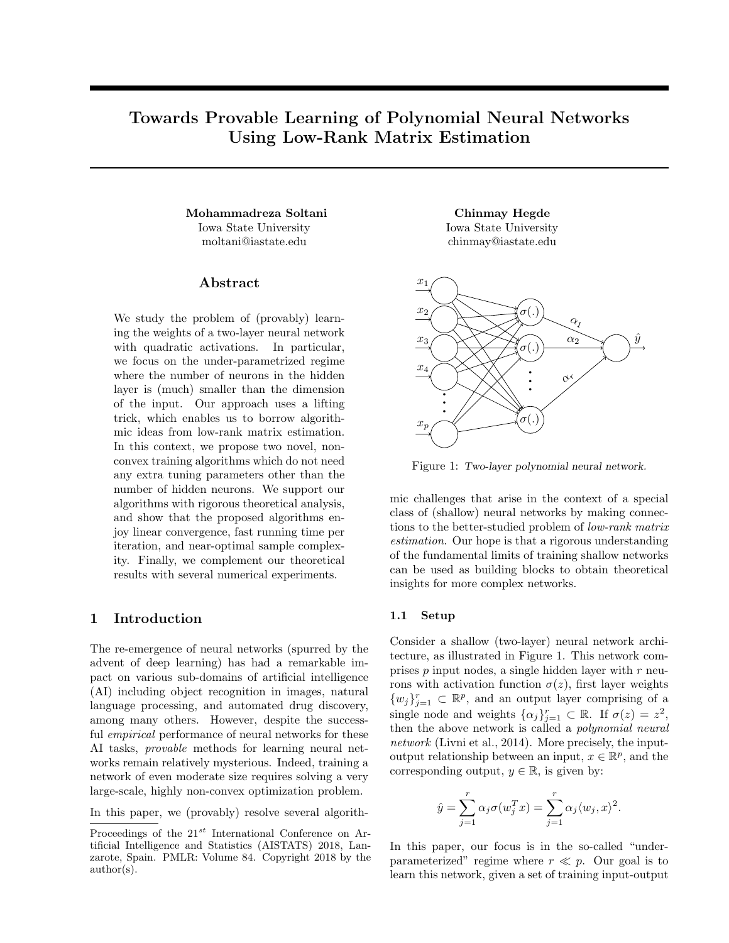# Towards Provable Learning of Polynomial Neural Networks Using Low-Rank Matrix Estimation

Mohammadreza Soltani Chinmay Hegde Iowa State University moltani@iastate.edu

# Abstract

We study the problem of (provably) learning the weights of a two-layer neural network with quadratic activations. In particular, we focus on the under-parametrized regime where the number of neurons in the hidden layer is (much) smaller than the dimension of the input. Our approach uses a lifting trick, which enables us to borrow algorithmic ideas from low-rank matrix estimation. In this context, we propose two novel, nonconvex training algorithms which do not need any extra tuning parameters other than the number of hidden neurons. We support our algorithms with rigorous theoretical analysis, and show that the proposed algorithms enjoy linear convergence, fast running time per iteration, and near-optimal sample complexity. Finally, we complement our theoretical results with several numerical experiments.

# 1 Introduction

The re-emergence of neural networks (spurred by the advent of deep learning) has had a remarkable impact on various sub-domains of artificial intelligence (AI) including object recognition in images, natural language processing, and automated drug discovery, among many others. However, despite the successful *empirical* performance of neural networks for these AI tasks, provable methods for learning neural networks remain relatively mysterious. Indeed, training a network of even moderate size requires solving a very large-scale, highly non-convex optimization problem.

In this paper, we (provably) resolve several algorith-

Iowa State University chinmay@iastate.edu



Figure 1: Two-layer polynomial neural network.

mic challenges that arise in the context of a special class of (shallow) neural networks by making connections to the better-studied problem of low-rank matrix estimation. Our hope is that a rigorous understanding of the fundamental limits of training shallow networks can be used as building blocks to obtain theoretical insights for more complex networks.

## 1.1 Setup

Consider a shallow (two-layer) neural network architecture, as illustrated in Figure 1. This network comprises  $p$  input nodes, a single hidden layer with  $r$  neurons with activation function  $\sigma(z)$ , first layer weights  $\{w_j\}_{j=1}^r \subset \mathbb{R}^p$ , and an output layer comprising of a single node and weights  $\{\alpha_j\}_{j=1}^r \subset \mathbb{R}$ . If  $\sigma(z) = z^2$ , then the above network is called a polynomial neural network (Livni et al., 2014). More precisely, the inputoutput relationship between an input,  $x \in \mathbb{R}^p$ , and the corresponding output,  $y \in \mathbb{R}$ , is given by:

$$
\hat{y} = \sum_{j=1}^r \alpha_j \sigma(w_j^T x) = \sum_{j=1}^r \alpha_j \langle w_j, x \rangle^2.
$$

In this paper, our focus is in the so-called "underparameterized" regime where  $r \ll p$ . Our goal is to learn this network, given a set of training input-output

Proceedings of the  $21^{st}$  International Conference on Artificial Intelligence and Statistics (AISTATS) 2018, Lanzarote, Spain. PMLR: Volume 84. Copyright 2018 by the author(s).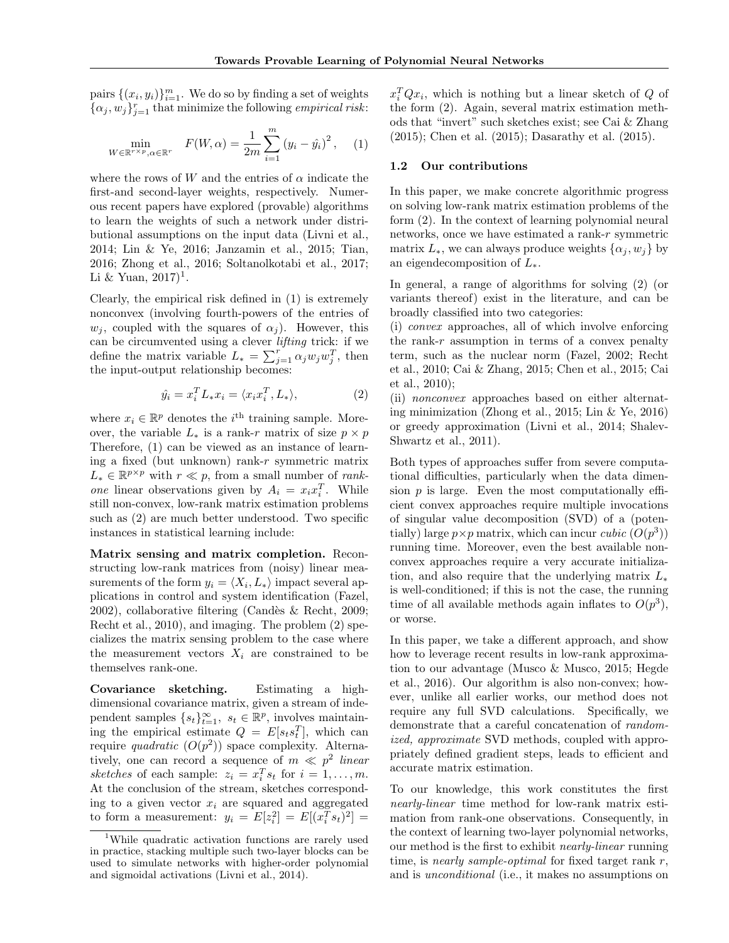pairs  $\{(x_i, y_i)\}_{i=1}^m$ . We do so by finding a set of weights  $\{\alpha_j, w_j\}_{j=1}^r$  that minimize the following *empirical risk*:

$$
\min_{W \in \mathbb{R}^{r \times p}, \alpha \in \mathbb{R}^r} \quad F(W, \alpha) = \frac{1}{2m} \sum_{i=1}^m (y_i - \hat{y}_i)^2, \quad (1)
$$

where the rows of W and the entries of  $\alpha$  indicate the first-and second-layer weights, respectively. Numerous recent papers have explored (provable) algorithms to learn the weights of such a network under distributional assumptions on the input data (Livni et al., 2014; Lin & Ye, 2016; Janzamin et al., 2015; Tian, 2016; Zhong et al., 2016; Soltanolkotabi et al., 2017; Li & Yuan,  $2017$ <sup>1</sup>.

Clearly, the empirical risk defined in (1) is extremely nonconvex (involving fourth-powers of the entries of  $w_i$ , coupled with the squares of  $\alpha_i$ ). However, this can be circumvented using a clever lifting trick: if we define the matrix variable  $L_* = \sum_{j=1}^r \alpha_j w_j w_j^T$ , then the input-output relationship becomes:

$$
\hat{y}_i = x_i^T L_* x_i = \langle x_i x_i^T, L_* \rangle,\tag{2}
$$

where  $x_i \in \mathbb{R}^p$  denotes the *i*<sup>th</sup> training sample. Moreover, the variable  $L_*$  is a rank-r matrix of size  $p \times p$ Therefore, (1) can be viewed as an instance of learning a fixed (but unknown) rank-r symmetric matrix  $L_* \in \mathbb{R}^{p \times p}$  with  $r \ll p$ , from a small number of *rank*one linear observations given by  $A_i = x_i x_i^T$ . While still non-convex, low-rank matrix estimation problems such as (2) are much better understood. Two specific instances in statistical learning include:

Matrix sensing and matrix completion. Reconstructing low-rank matrices from (noisy) linear measurements of the form  $y_i = \langle X_i, L_* \rangle$  impact several applications in control and system identification (Fazel, 2002), collaborative filtering (Cand`es & Recht, 2009; Recht et al., 2010), and imaging. The problem (2) specializes the matrix sensing problem to the case where the measurement vectors  $X_i$  are constrained to be themselves rank-one.

Covariance sketching. Estimating a highdimensional covariance matrix, given a stream of independent samples  $\{s_t\}_{t=1}^{\infty}$ ,  $s_t \in \mathbb{R}^p$ , involves maintaining the empirical estimate  $Q = E[s_t s_t^T]$ , which can require *quadratic*  $(O(p^2))$  space complexity. Alternatively, one can record a sequence of  $m \ll p^2$  linear sketches of each sample:  $z_i = x_i^T s_t$  for  $i = 1, ..., m$ . At the conclusion of the stream, sketches corresponding to a given vector  $x_i$  are squared and aggregated to form a measurement:  $y_i = E[z_i^2] = E[(x_i^T s_t)^2] =$ 

 $x_i^T Q x_i$ , which is nothing but a linear sketch of Q of the form (2). Again, several matrix estimation methods that "invert" such sketches exist; see Cai & Zhang (2015); Chen et al. (2015); Dasarathy et al. (2015).

#### 1.2 Our contributions

In this paper, we make concrete algorithmic progress on solving low-rank matrix estimation problems of the form (2). In the context of learning polynomial neural networks, once we have estimated a rank-r symmetric matrix  $L_*$ , we can always produce weights  $\{\alpha_j, w_j\}$  by an eigendecomposition of  $L_{*}$ .

In general, a range of algorithms for solving (2) (or variants thereof) exist in the literature, and can be broadly classified into two categories:

(i) convex approaches, all of which involve enforcing the rank- $r$  assumption in terms of a convex penalty term, such as the nuclear norm (Fazel, 2002; Recht et al., 2010; Cai & Zhang, 2015; Chen et al., 2015; Cai et al., 2010);

(ii) nonconvex approaches based on either alternating minimization (Zhong et al., 2015; Lin & Ye, 2016) or greedy approximation (Livni et al., 2014; Shalev-Shwartz et al., 2011).

Both types of approaches suffer from severe computational difficulties, particularly when the data dimension  $p$  is large. Even the most computationally efficient convex approaches require multiple invocations of singular value decomposition (SVD) of a (potentially) large  $p \times p$  matrix, which can incur *cubic*  $(O(p^3))$ running time. Moreover, even the best available nonconvex approaches require a very accurate initialization, and also require that the underlying matrix  $L_*$ is well-conditioned; if this is not the case, the running time of all available methods again inflates to  $O(p^3)$ , or worse.

In this paper, we take a different approach, and show how to leverage recent results in low-rank approximation to our advantage (Musco & Musco, 2015; Hegde et al., 2016). Our algorithm is also non-convex; however, unlike all earlier works, our method does not require any full SVD calculations. Specifically, we demonstrate that a careful concatenation of randomized, approximate SVD methods, coupled with appropriately defined gradient steps, leads to efficient and accurate matrix estimation.

To our knowledge, this work constitutes the first nearly-linear time method for low-rank matrix estimation from rank-one observations. Consequently, in the context of learning two-layer polynomial networks, our method is the first to exhibit nearly-linear running time, is *nearly sample-optimal* for fixed target rank  $r$ , and is unconditional (i.e., it makes no assumptions on

<sup>1</sup>While quadratic activation functions are rarely used in practice, stacking multiple such two-layer blocks can be used to simulate networks with higher-order polynomial and sigmoidal activations (Livni et al., 2014).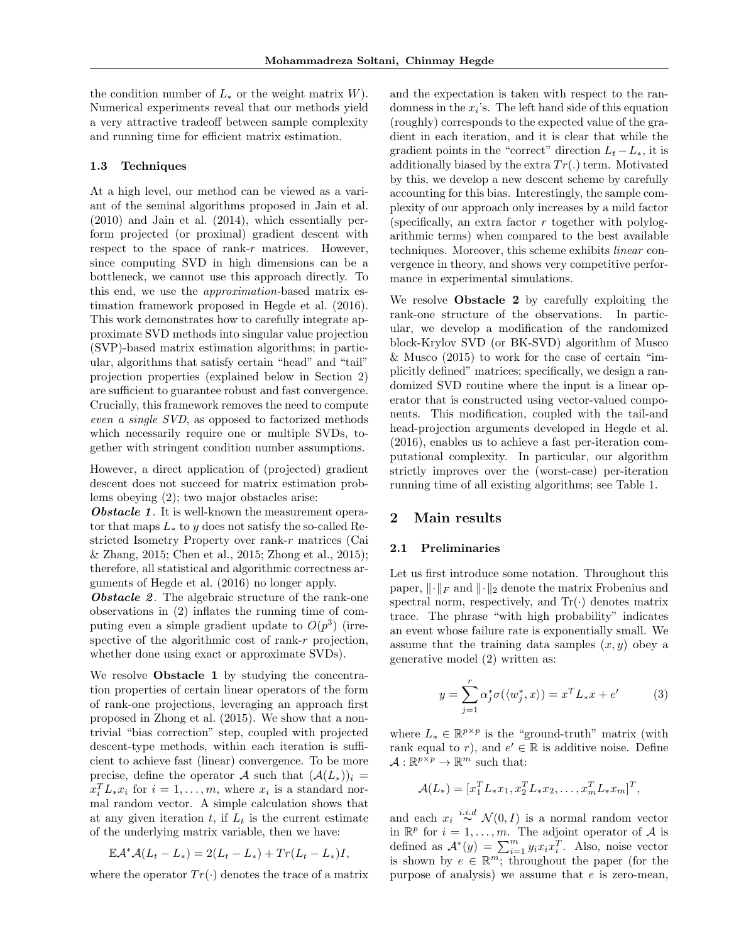the condition number of  $L_*$  or the weight matrix W). Numerical experiments reveal that our methods yield a very attractive tradeoff between sample complexity and running time for efficient matrix estimation.

#### 1.3 Techniques

At a high level, our method can be viewed as a variant of the seminal algorithms proposed in Jain et al. (2010) and Jain et al. (2014), which essentially perform projected (or proximal) gradient descent with respect to the space of rank- $r$  matrices. However, since computing SVD in high dimensions can be a bottleneck, we cannot use this approach directly. To this end, we use the approximation-based matrix estimation framework proposed in Hegde et al. (2016). This work demonstrates how to carefully integrate approximate SVD methods into singular value projection (SVP)-based matrix estimation algorithms; in particular, algorithms that satisfy certain "head" and "tail" projection properties (explained below in Section 2) are sufficient to guarantee robust and fast convergence. Crucially, this framework removes the need to compute even a single SVD, as opposed to factorized methods which necessarily require one or multiple SVDs, together with stringent condition number assumptions.

However, a direct application of (projected) gradient descent does not succeed for matrix estimation problems obeying (2); two major obstacles arise:

**Obstacle 1.** It is well-known the measurement operator that maps  $L_*$  to y does not satisfy the so-called Restricted Isometry Property over rank-r matrices (Cai & Zhang, 2015; Chen et al., 2015; Zhong et al., 2015); therefore, all statistical and algorithmic correctness arguments of Hegde et al. (2016) no longer apply.

**Obstacle 2.** The algebraic structure of the rank-one observations in (2) inflates the running time of computing even a simple gradient update to  $O(p^3)$  (irrespective of the algorithmic cost of rank-r projection, whether done using exact or approximate SVDs).

We resolve **Obstacle 1** by studying the concentration properties of certain linear operators of the form of rank-one projections, leveraging an approach first proposed in Zhong et al. (2015). We show that a nontrivial "bias correction" step, coupled with projected descent-type methods, within each iteration is sufficient to achieve fast (linear) convergence. To be more precise, define the operator A such that  $(\mathcal{A}(L_*))_i$  =  $x_i^T L_* x_i$  for  $i = 1, ..., m$ , where  $x_i$  is a standard normal random vector. A simple calculation shows that at any given iteration  $t$ , if  $L_t$  is the current estimate of the underlying matrix variable, then we have:

$$
\mathbb{E} \mathcal{A}^* \mathcal{A} (L_t - L_*) = 2(L_t - L_*) + Tr(L_t - L_*)I,
$$

where the operator  $Tr(\cdot)$  denotes the trace of a matrix

and the expectation is taken with respect to the randomness in the  $x_i$ 's. The left hand side of this equation (roughly) corresponds to the expected value of the gradient in each iteration, and it is clear that while the gradient points in the "correct" direction  $L_t - L_*,$  it is additionally biased by the extra  $Tr(.)$  term. Motivated by this, we develop a new descent scheme by carefully accounting for this bias. Interestingly, the sample complexity of our approach only increases by a mild factor (specifically, an extra factor  $r$  together with polylogarithmic terms) when compared to the best available techniques. Moreover, this scheme exhibits linear convergence in theory, and shows very competitive performance in experimental simulations.

We resolve Obstacle 2 by carefully exploiting the rank-one structure of the observations. In particular, we develop a modification of the randomized block-Krylov SVD (or BK-SVD) algorithm of Musco & Musco (2015) to work for the case of certain "implicitly defined" matrices; specifically, we design a randomized SVD routine where the input is a linear operator that is constructed using vector-valued components. This modification, coupled with the tail-and head-projection arguments developed in Hegde et al. (2016), enables us to achieve a fast per-iteration computational complexity. In particular, our algorithm strictly improves over the (worst-case) per-iteration running time of all existing algorithms; see Table 1.

# 2 Main results

# 2.1 Preliminaries

Let us first introduce some notation. Throughout this paper,  $\lVert \cdot \rVert_F$  and  $\lVert \cdot \rVert_2$  denote the matrix Frobenius and spectral norm, respectively, and  $Tr(\cdot)$  denotes matrix trace. The phrase "with high probability" indicates an event whose failure rate is exponentially small. We assume that the training data samples  $(x, y)$  obey a generative model (2) written as:

$$
y = \sum_{j=1}^{r} \alpha_j^* \sigma(\langle w_j^*, x \rangle) = x^T L_* x + e'
$$
 (3)

where  $L_* \in \mathbb{R}^{p \times p}$  is the "ground-truth" matrix (with rank equal to r), and  $e' \in \mathbb{R}$  is additive noise. Define  $\mathcal{A}: \mathbb{R}^{p \times p} \to \mathbb{R}^m$  such that:

$$
\mathcal{A}(L_*) = [x_1^T L_* x_1, x_2^T L_* x_2, \dots, x_m^T L_* x_m]^T,
$$

and each  $x_i \stackrel{i.i.d}{\sim} \mathcal{N}(0,I)$  is a normal random vector in  $\mathbb{R}^p$  for  $i = 1, \ldots, m$ . The adjoint operator of A is defined as  $\mathcal{A}^*(y) = \sum_{i=1}^m y_i x_i x_i^T$ . Also, noise vector is shown by  $e \in \mathbb{R}^m$ ; throughout the paper (for the purpose of analysis) we assume that  $e$  is zero-mean,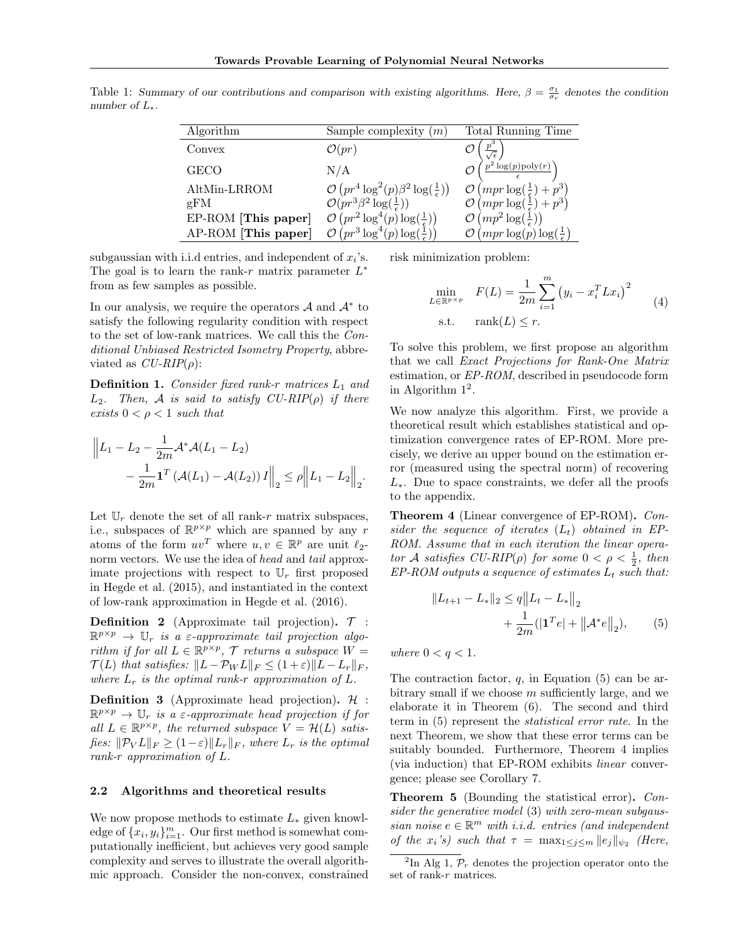| Algorithm           | Sample complexity<br>(m)                                       | Total Running Time                      |
|---------------------|----------------------------------------------------------------|-----------------------------------------|
| Convex              | $\mathcal{O}(pr)$                                              |                                         |
| GECO                | N/A                                                            | $p^2 \log(p)$ poly $(r)$                |
| AltMin-LRROM        | $\mathcal{O}(pr^4 \log^2(p) \beta^2 \log(\frac{1}{\epsilon}))$ | $(mpr \log($                            |
| gFM                 | $\mathcal{O}(pr^3\beta^2 \log(\frac{1}{\epsilon}))$            | $(mpr \log(\frac{1}{\epsilon}))$        |
| EP-ROM [This paper] | $\left(pr^2\log^4(p)\log(\frac{1}{\epsilon})\right)$           | $(m p^2 \log(\frac{1}{\epsilon}))$      |
| AP-ROM [This paper] | $pr^3 \log^4(p) \log(\frac{1}{r})$                             | $(mpr \log(p) \log(\frac{1}{\epsilon})$ |

Table 1: Summary of our contributions and comparison with existing algorithms. Here,  $\beta = \frac{\sigma_1}{\sigma_r}$  denotes the condition number of  $L_*$ .

subgaussian with i.i.d entries, and independent of  $x_i$ 's. The goal is to learn the rank-r matrix parameter  $L^*$ from as few samples as possible.

In our analysis, we require the operators  $A$  and  $A^*$  to satisfy the following regularity condition with respect to the set of low-rank matrices. We call this the Conditional Unbiased Restricted Isometry Property, abbreviated as  $CU-RIP(\rho)$ :

**Definition 1.** Consider fixed rank-r matrices  $L_1$  and  $L_2$ . Then, A is said to satisfy  $CU-RIP(\rho)$  if there exists  $0 < \rho < 1$  such that

$$
\|L_1 - L_2 - \frac{1}{2m} \mathcal{A}^* \mathcal{A} (L_1 - L_2) - \frac{1}{2m} \mathbf{1}^T (\mathcal{A} (L_1) - \mathcal{A} (L_2)) I \|_2 \le \rho \|L_1 - L_2\|_2.
$$

Let  $\mathbb{U}_r$  denote the set of all rank-r matrix subspaces, i.e., subspaces of  $\mathbb{R}^{p \times p}$  which are spanned by any r atoms of the form  $uv^T$  where  $u, v \in \mathbb{R}^p$  are unit  $\ell_2$ norm vectors. We use the idea of head and tail approximate projections with respect to  $\mathbb{U}_r$  first proposed in Hegde et al. (2015), and instantiated in the context of low-rank approximation in Hegde et al. (2016).

**Definition 2** (Approximate tail projection).  $\mathcal{T}$  :  $\mathbb{R}^{p \times p} \rightarrow \mathbb{U}_r$  is a  $\varepsilon$ -approximate tail projection algorithm if for all  $L \in \mathbb{R}^{p \times p}$ ,  $\mathcal{T}$  returns a subspace  $W =$  $\mathcal{T}(L)$  that satisfies:  $||L - \mathcal{P}_W L||_F \leq (1 + \varepsilon) ||L - L_r||_F$ , where  $L_r$  is the optimal rank-r approximation of  $L$ .

**Definition 3** (Approximate head projection).  $H$ :  $\mathbb{R}^{p \times p} \to \mathbb{U}_r$  is a *ε*-approximate head projection if for all  $L \in \mathbb{R}^{p \times p}$ , the returned subspace  $V = \mathcal{H}(L)$  satisfies:  $\|\mathcal{P}_V L\|_F \geq (1-\varepsilon)\|L_r\|_F$ , where  $L_r$  is the optimal rank-r approximation of L.

### 2.2 Algorithms and theoretical results

We now propose methods to estimate  $L_*$  given knowledge of  $\{x_i, y_i\}_{i=1}^m$ . Our first method is somewhat computationally inefficient, but achieves very good sample complexity and serves to illustrate the overall algorithmic approach. Consider the non-convex, constrained risk minimization problem:

$$
\min_{L \in \mathbb{R}^{p \times p}} F(L) = \frac{1}{2m} \sum_{i=1}^{m} (y_i - x_i^T L x_i)^2
$$
\n
$$
\text{s.t.} \quad \text{rank}(L) \leq r. \tag{4}
$$

To solve this problem, we first propose an algorithm that we call Exact Projections for Rank-One Matrix estimation, or EP-ROM, described in pseudocode form in Algorithm  $1^2$ .

We now analyze this algorithm. First, we provide a theoretical result which establishes statistical and optimization convergence rates of EP-ROM. More precisely, we derive an upper bound on the estimation error (measured using the spectral norm) of recovering  $L_{*}$ . Due to space constraints, we defer all the proofs to the appendix.

Theorem 4 (Linear convergence of EP-ROM). Consider the sequence of iterates  $(L_t)$  obtained in EP-ROM. Assume that in each iteration the linear operator A satisfies  $CU-RIP(\rho)$  for some  $0 < \rho < \frac{1}{2}$ , then  $EP-ROM$  outputs a sequence of estimates  $L_t$  such that:

$$
||L_{t+1} - L_*||_2 \le q||L_t - L_*||_2
$$
  
+  $\frac{1}{2m} (|\mathbf{1}^T e| + ||\mathcal{A}^* e||_2),$  (5)

where  $0 < q < 1$ .

The contraction factor,  $q$ , in Equation (5) can be arbitrary small if we choose  $m$  sufficiently large, and we elaborate it in Theorem (6). The second and third term in (5) represent the statistical error rate. In the next Theorem, we show that these error terms can be suitably bounded. Furthermore, Theorem 4 implies (via induction) that EP-ROM exhibits linear convergence; please see Corollary 7.

Theorem 5 (Bounding the statistical error). Consider the generative model (3) with zero-mean subgaussian noise  $e \in \mathbb{R}^m$  with i.i.d. entries (and independent of the  $x_i$ 's) such that  $\tau = \max_{1 \leq j \leq m} ||e_j||_{\psi_2}$  (Here,

<sup>&</sup>lt;sup>2</sup>In Alg 1,  $\mathcal{P}_r$  denotes the projection operator onto the set of rank-r matrices.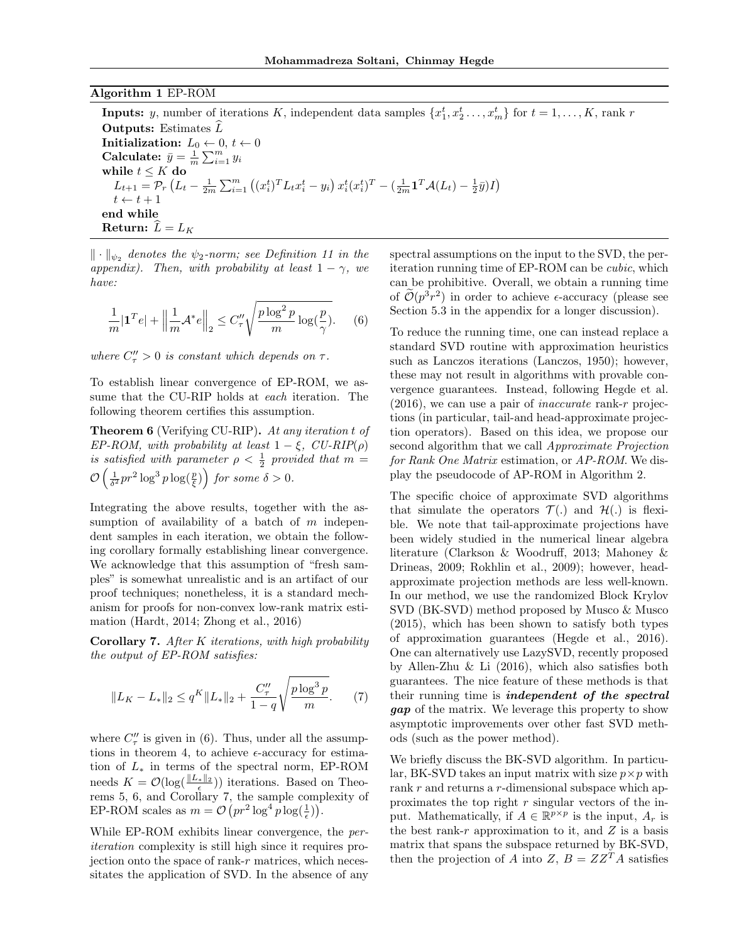### Algorithm 1 EP-ROM

**Inputs:** y, number of iterations K, independent data samples  $\{x_1^t, x_2^t, \ldots, x_m^t\}$  for  $t = 1, \ldots, K$ , rank r **Outputs:** Estimates  $\overline{L}$ **Initialization:**  $L_0 \leftarrow 0, t \leftarrow 0$ Calculate:  $\bar{y} = \frac{1}{m} \sum_{i=1}^{m} y_i$ while  $t \leq K$  do  $L_{t+1} = \mathcal{P}_r \left( L_t - \frac{1}{2m} \sum_{i=1}^m \left( (x_i^t)^T L_t x_i^t - y_i \right) x_i^t (x_i^t)^T - \left( \frac{1}{2m} \mathbf{1}^T \mathcal{A}(L_t) - \frac{1}{2} \bar{y} \right) I \right)$  $t \leftarrow t + 1$ end while Return:  $L = L_K$ 

 $\|\cdot\|_{\psi_2}$  denotes the  $\psi_2$ -norm; see Definition 11 in the appendix). Then, with probability at least  $1 - \gamma$ , we have:

$$
\frac{1}{m}|\mathbf{1}^T e| + \left\|\frac{1}{m}\mathcal{A}^* e\right\|_2 \le C''_\tau \sqrt{\frac{p\log^2 p}{m}\log(\frac{p}{\gamma})}. \tag{6}
$$

where  $C''_{\tau} > 0$  is constant which depends on  $\tau$ .

To establish linear convergence of EP-ROM, we assume that the CU-RIP holds at each iteration. The following theorem certifies this assumption.

Theorem 6 (Verifying CU-RIP). At any iteration t of EP-ROM, with probability at least  $1 - \xi$ , CU-RIP( $\rho$ ) is satisfied with parameter  $\rho < \frac{1}{2}$  provided that  $m =$  $\mathcal{O}\left(\frac{1}{\delta^2}pr^2\log^3p\log(\frac{p}{\xi})\right)$  for some  $\delta>0$ .

Integrating the above results, together with the assumption of availability of a batch of  $m$  independent samples in each iteration, we obtain the following corollary formally establishing linear convergence. We acknowledge that this assumption of "fresh samples" is somewhat unrealistic and is an artifact of our proof techniques; nonetheless, it is a standard mechanism for proofs for non-convex low-rank matrix estimation (Hardt, 2014; Zhong et al., 2016)

Corollary 7. After K iterations, with high probability the output of EP-ROM satisfies:

$$
||L_K - L_*||_2 \le q^K ||L_*||_2 + \frac{C''_\tau}{1-q} \sqrt{\frac{p \log^3 p}{m}}.\tag{7}
$$

where  $C''_{\tau}$  is given in (6). Thus, under all the assumptions in theorem 4, to achieve  $\epsilon$ -accuracy for estimation of  $L_*$  in terms of the spectral norm, EP-ROM needs  $K = \mathcal{O}(\log(\frac{||L_*||_2}{\epsilon}))$  iterations. Based on Theorecus  $K = O(\log(\frac{\epsilon}{\epsilon}))$  rectations. Based on Theorems 5, 6, and Corollary 7, the sample complexity of EP-ROM scales as  $m = \mathcal{O}(pr^2 \log^4 p \log(\frac{1}{\epsilon}))$ .

While EP-ROM exhibits linear convergence, the periteration complexity is still high since it requires projection onto the space of rank-r matrices, which necessitates the application of SVD. In the absence of any

spectral assumptions on the input to the SVD, the periteration running time of EP-ROM can be cubic, which can be prohibitive. Overall, we obtain a running time of  $\tilde{\mathcal{O}}(p^3r^2)$  in order to achieve  $\epsilon$ -accuracy (please see Section 5.3 in the appendix for a longer discussion).

To reduce the running time, one can instead replace a standard SVD routine with approximation heuristics such as Lanczos iterations (Lanczos, 1950); however, these may not result in algorithms with provable convergence guarantees. Instead, following Hegde et al.  $(2016)$ , we can use a pair of *inaccurate* rank-r projections (in particular, tail-and head-approximate projection operators). Based on this idea, we propose our second algorithm that we call Approximate Projection for Rank One Matrix estimation, or AP-ROM. We display the pseudocode of AP-ROM in Algorithm 2.

The specific choice of approximate SVD algorithms that simulate the operators  $\mathcal{T}(\cdot)$  and  $\mathcal{H}(\cdot)$  is flexible. We note that tail-approximate projections have been widely studied in the numerical linear algebra literature (Clarkson & Woodruff, 2013; Mahoney & Drineas, 2009; Rokhlin et al., 2009); however, headapproximate projection methods are less well-known. In our method, we use the randomized Block Krylov SVD (BK-SVD) method proposed by Musco & Musco (2015), which has been shown to satisfy both types of approximation guarantees (Hegde et al., 2016). One can alternatively use LazySVD, recently proposed by Allen-Zhu & Li (2016), which also satisfies both guarantees. The nice feature of these methods is that their running time is independent of the spectral gap of the matrix. We leverage this property to show asymptotic improvements over other fast SVD methods (such as the power method).

We briefly discuss the BK-SVD algorithm. In particular, BK-SVD takes an input matrix with size  $p \times p$  with rank r and returns a r-dimensional subspace which approximates the top right  $r$  singular vectors of the input. Mathematically, if  $A \in \mathbb{R}^{p \times p}$  is the input,  $A_r$  is the best rank-r approximation to it, and  $Z$  is a basis matrix that spans the subspace returned by BK-SVD, then the projection of A into Z,  $B = ZZ^{T}A$  satisfies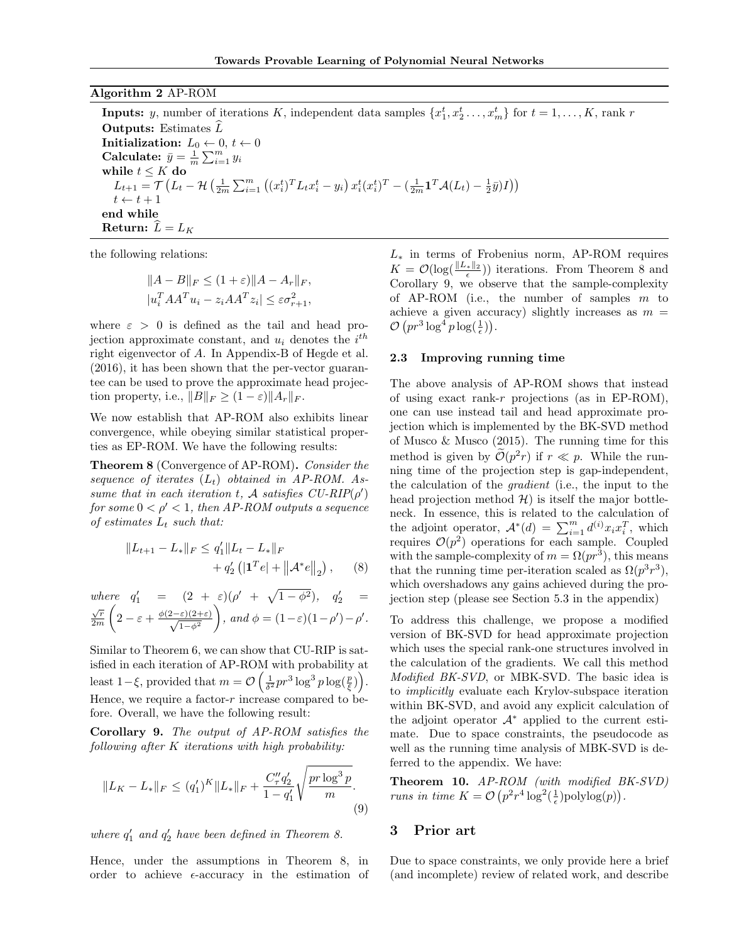### Algorithm 2 AP-ROM

**Inputs:** y, number of iterations K, independent data samples  $\{x_1^t, x_2^t, \ldots, x_m^t\}$  for  $t = 1, \ldots, K$ , rank r **Outputs:** Estimates  $\overline{L}$ **Initialization:**  $L_0 \leftarrow 0, t \leftarrow 0$ Calculate:  $\bar{y} = \frac{1}{m} \sum_{i=1}^{m} y_i$ while  $t \leq K$  do  $L_{t+1} = \mathcal{T}\left(L_t - \mathcal{H}\left(\frac{1}{2m}\sum_{i=1}^m\left((x_i^t)^TL_tx_i^t - y_i\right)x_i^t(x_i^t)^T - (\frac{1}{2m}\mathbf{1}^T\mathcal{A}(L_t) - \frac{1}{2}\bar{y})I\right)\right)$  $t \leftarrow t + 1$ end while Return:  $L = L_K$ 

the following relations:

$$
||A - B||_F \le (1 + \varepsilon) ||A - A_r||_F,
$$
  
\n
$$
|u_i^T A A^T u_i - z_i A A^T z_i| \le \varepsilon \sigma_{r+1}^2,
$$

where  $\varepsilon > 0$  is defined as the tail and head projection approximate constant, and  $u_i$  denotes the  $i^{th}$ right eigenvector of A. In Appendix-B of Hegde et al. (2016), it has been shown that the per-vector guarantee can be used to prove the approximate head projection property, i.e.,  $||B||_F \geq (1 - \varepsilon) ||A_r||_F$ .

We now establish that AP-ROM also exhibits linear convergence, while obeying similar statistical properties as EP-ROM. We have the following results:

Theorem 8 (Convergence of AP-ROM). Consider the sequence of iterates  $(L_t)$  obtained in AP-ROM. Assume that in each iteration t, A satisfies  $CU-RIP(\rho')$ for some  $0 < \rho' < 1$ , then AP-ROM outputs a sequence of estimates  $L_t$  such that:

$$
||L_{t+1} - L_*||_F \le q_1'||L_t - L_*||_F
$$
  
+ q\_2' (|\mathbf{1}^T e| + ||A^\* e||\_2), (8)

where 
$$
q'_1 = (2 + \varepsilon)(\rho' + \sqrt{1 - \phi^2}), q'_2 = \frac{\sqrt{r}}{2m} \left(2 - \varepsilon + \frac{\phi(2-\varepsilon)(2+\varepsilon)}{\sqrt{1-\phi^2}}\right)
$$
, and  $\phi = (1-\varepsilon)(1-\rho') - \rho'.$ 

Similar to Theorem 6, we can show that CU-RIP is satisfied in each iteration of AP-ROM with probability at least 1-ξ, provided that  $m = \mathcal{O}\left(\frac{1}{\delta^2}pr^3\log^3 p\log(\frac{p}{\xi})\right)$ . Hence, we require a factor- $r$  increase compared to before. Overall, we have the following result:

Corollary 9. The output of AP-ROM satisfies the following after K iterations with high probability:

$$
||L_K - L_*||_F \le (q'_1)^K ||L_*||_F + \frac{C''_\tau q'_2}{1 - q'_1} \sqrt{\frac{pr \log^3 p}{m}}.
$$
\n(9)

where  $q'_1$  and  $q'_2$  have been defined in Theorem 8.

Hence, under the assumptions in Theorem 8, in order to achieve  $\epsilon$ -accuracy in the estimation of  $L_*$  in terms of Frobenius norm, AP-ROM requires  $K = \mathcal{O}(\log(\frac{||L_*||_2}{\epsilon}))$  iterations. From Theorem 8 and Corollary 9, we observe that the sample-complexity of AP-ROM (i.e., the number of samples  $m$  to achieve a given accuracy) slightly increases as  $m =$  $\mathcal{O}\left(pr^3\log^4 p\log(\frac{1}{\epsilon})\right).$ 

#### 2.3 Improving running time

The above analysis of AP-ROM shows that instead of using exact rank-r projections (as in  $EP-ROM$ ), one can use instead tail and head approximate projection which is implemented by the BK-SVD method of Musco & Musco (2015). The running time for this method is given by  $\tilde{\mathcal{O}}(p^2r)$  if  $r \ll p$ . While the running time of the projection step is gap-independent, the calculation of the gradient (i.e., the input to the head projection method  $\mathcal{H}$ ) is itself the major bottleneck. In essence, this is related to the calculation of the adjoint operator,  $\mathcal{A}^*(d) = \sum_{i=1}^m d^{(i)}x_i x_i^T$ , which requires  $\mathcal{O}(p^2)$  operations for each sample. Coupled with the sample-complexity of  $m = \Omega(pr^3)$ , this means that the running time per-iteration scaled as  $\Omega(p^3r^3)$ , which overshadows any gains achieved during the projection step (please see Section 5.3 in the appendix)

To address this challenge, we propose a modified version of BK-SVD for head approximate projection which uses the special rank-one structures involved in the calculation of the gradients. We call this method Modified BK-SVD, or MBK-SVD. The basic idea is to implicitly evaluate each Krylov-subspace iteration within BK-SVD, and avoid any explicit calculation of the adjoint operator  $A^*$  applied to the current estimate. Due to space constraints, the pseudocode as well as the running time analysis of MBK-SVD is deferred to the appendix. We have:

Theorem 10. AP-ROM (with modified BK-SVD) runs in time  $K = \mathcal{O}\left(p^2 r^4 \log^2(\frac{1}{\epsilon})\text{polylog}(p)\right)$ .

### 3 Prior art

Due to space constraints, we only provide here a brief (and incomplete) review of related work, and describe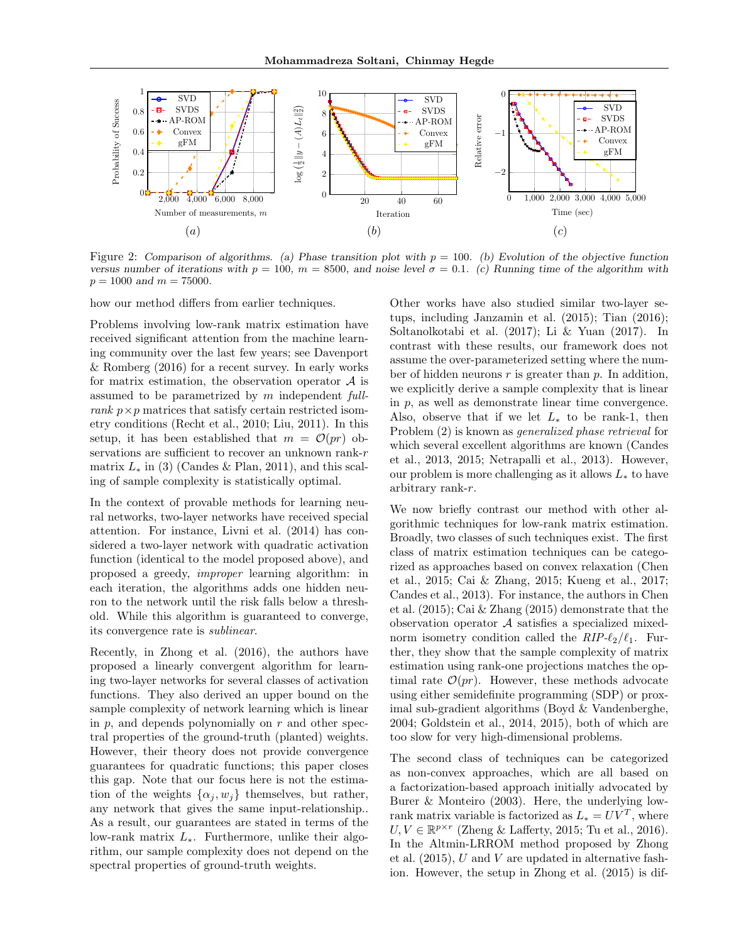

Figure 2: Comparison of algorithms. (a) Phase transition plot with  $p = 100$ . (b) Evolution of the objective function versus number of iterations with  $p = 100$ ,  $m = 8500$ , and noise level  $\sigma = 0.1$ . (c) Running time of the algorithm with  $p = 1000$  and  $m = 75000$ .

how our method differs from earlier techniques.

Problems involving low-rank matrix estimation have received significant attention from the machine learning community over the last few years; see Davenport & Romberg (2016) for a recent survey. In early works for matrix estimation, the observation operator  $A$  is assumed to be parametrized by m independent fullrank  $p \times p$  matrices that satisfy certain restricted isometry conditions (Recht et al., 2010; Liu, 2011). In this setup, it has been established that  $m = \mathcal{O}(pr)$  observations are sufficient to recover an unknown rank-r matrix  $L_*$  in (3) (Candes & Plan, 2011), and this scaling of sample complexity is statistically optimal.

In the context of provable methods for learning neural networks, two-layer networks have received special attention. For instance, Livni et al. (2014) has considered a two-layer network with quadratic activation function (identical to the model proposed above), and proposed a greedy, improper learning algorithm: in each iteration, the algorithms adds one hidden neuron to the network until the risk falls below a threshold. While this algorithm is guaranteed to converge, its convergence rate is sublinear.

Recently, in Zhong et al. (2016), the authors have proposed a linearly convergent algorithm for learning two-layer networks for several classes of activation functions. They also derived an upper bound on the sample complexity of network learning which is linear in  $p$ , and depends polynomially on  $r$  and other spectral properties of the ground-truth (planted) weights. However, their theory does not provide convergence guarantees for quadratic functions; this paper closes this gap. Note that our focus here is not the estimation of the weights  $\{\alpha_i, w_i\}$  themselves, but rather, any network that gives the same input-relationship.. As a result, our guarantees are stated in terms of the low-rank matrix L∗. Furthermore, unlike their algorithm, our sample complexity does not depend on the spectral properties of ground-truth weights.

Other works have also studied similar two-layer setups, including Janzamin et al. (2015); Tian (2016); Soltanolkotabi et al. (2017); Li & Yuan (2017). In contrast with these results, our framework does not assume the over-parameterized setting where the number of hidden neurons  $r$  is greater than  $p$ . In addition, we explicitly derive a sample complexity that is linear in p, as well as demonstrate linear time convergence. Also, observe that if we let  $L_*$  to be rank-1, then Problem (2) is known as generalized phase retrieval for which several excellent algorithms are known (Candes et al., 2013, 2015; Netrapalli et al., 2013). However, our problem is more challenging as it allows  $L_*$  to have arbitrary rank-r.

We now briefly contrast our method with other algorithmic techniques for low-rank matrix estimation. Broadly, two classes of such techniques exist. The first class of matrix estimation techniques can be categorized as approaches based on convex relaxation (Chen et al., 2015; Cai & Zhang, 2015; Kueng et al., 2017; Candes et al., 2013). For instance, the authors in Chen et al. (2015); Cai & Zhang (2015) demonstrate that the observation operator A satisfies a specialized mixednorm isometry condition called the  $RIP-\ell_2/\ell_1$ . Further, they show that the sample complexity of matrix estimation using rank-one projections matches the optimal rate  $\mathcal{O}(pr)$ . However, these methods advocate using either semidefinite programming (SDP) or proximal sub-gradient algorithms (Boyd & Vandenberghe, 2004; Goldstein et al., 2014, 2015), both of which are too slow for very high-dimensional problems.

The second class of techniques can be categorized as non-convex approaches, which are all based on a factorization-based approach initially advocated by Burer & Monteiro (2003). Here, the underlying lowrank matrix variable is factorized as  $L_* = UV^T$ , where  $U, V \in \mathbb{R}^{p \times r}$  (Zheng & Lafferty, 2015; Tu et al., 2016). In the Altmin-LRROM method proposed by Zhong et al.  $(2015)$ , U and V are updated in alternative fashion. However, the setup in Zhong et al. (2015) is dif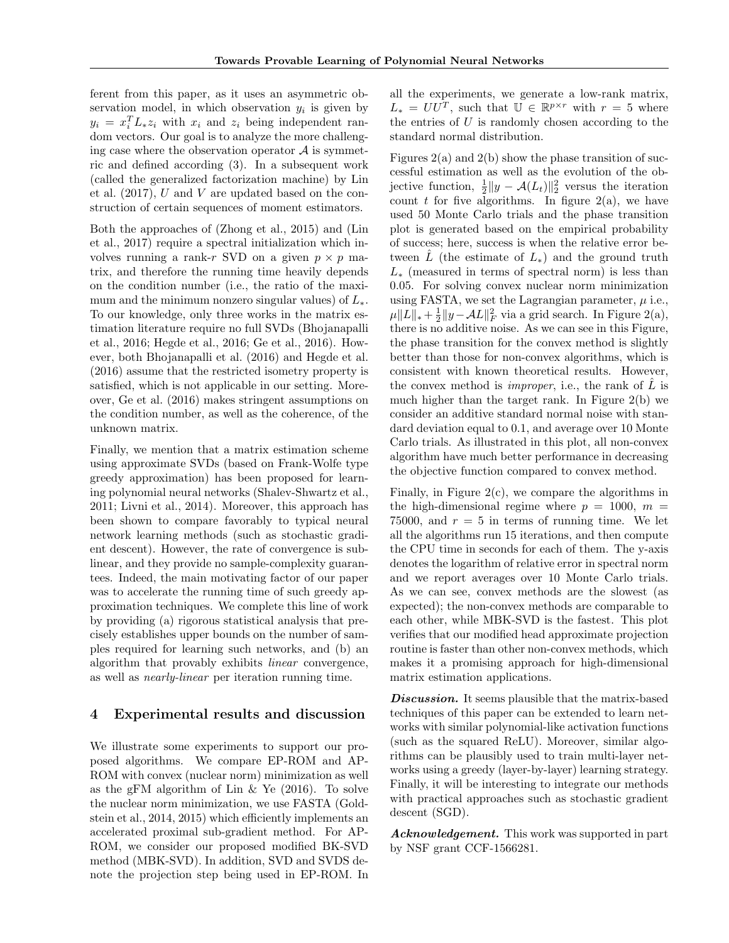ferent from this paper, as it uses an asymmetric observation model, in which observation  $y_i$  is given by  $y_i = x_i^T L_* z_i$  with  $x_i$  and  $z_i$  being independent random vectors. Our goal is to analyze the more challenging case where the observation operator  $A$  is symmetric and defined according (3). In a subsequent work (called the generalized factorization machine) by Lin et al.  $(2017)$ , U and V are updated based on the construction of certain sequences of moment estimators.

Both the approaches of (Zhong et al., 2015) and (Lin et al., 2017) require a spectral initialization which involves running a rank-r SVD on a given  $p \times p$  matrix, and therefore the running time heavily depends on the condition number (i.e., the ratio of the maximum and the minimum nonzero singular values) of  $L_{\ast}$ . To our knowledge, only three works in the matrix estimation literature require no full SVDs (Bhojanapalli et al., 2016; Hegde et al., 2016; Ge et al., 2016). However, both Bhojanapalli et al. (2016) and Hegde et al. (2016) assume that the restricted isometry property is satisfied, which is not applicable in our setting. Moreover, Ge et al. (2016) makes stringent assumptions on the condition number, as well as the coherence, of the unknown matrix.

Finally, we mention that a matrix estimation scheme using approximate SVDs (based on Frank-Wolfe type greedy approximation) has been proposed for learning polynomial neural networks (Shalev-Shwartz et al., 2011; Livni et al., 2014). Moreover, this approach has been shown to compare favorably to typical neural network learning methods (such as stochastic gradient descent). However, the rate of convergence is sublinear, and they provide no sample-complexity guarantees. Indeed, the main motivating factor of our paper was to accelerate the running time of such greedy approximation techniques. We complete this line of work by providing (a) rigorous statistical analysis that precisely establishes upper bounds on the number of samples required for learning such networks, and (b) an algorithm that provably exhibits linear convergence, as well as nearly-linear per iteration running time.

# 4 Experimental results and discussion

We illustrate some experiments to support our proposed algorithms. We compare EP-ROM and AP-ROM with convex (nuclear norm) minimization as well as the gFM algorithm of Lin  $\&$  Ye (2016). To solve the nuclear norm minimization, we use FASTA (Goldstein et al., 2014, 2015) which efficiently implements an accelerated proximal sub-gradient method. For AP-ROM, we consider our proposed modified BK-SVD method (MBK-SVD). In addition, SVD and SVDS denote the projection step being used in EP-ROM. In

all the experiments, we generate a low-rank matrix,  $L_* = U U^T$ , such that  $\mathbb{U} \in \mathbb{R}^{p \times r}$  with  $r = 5$  where the entries of  $U$  is randomly chosen according to the standard normal distribution.

Figures  $2(a)$  and  $2(b)$  show the phase transition of successful estimation as well as the evolution of the objective function,  $\frac{1}{2}||y - A(L_t)||_2^2$  versus the iteration count t for five algorithms. In figure  $2(a)$ , we have used 50 Monte Carlo trials and the phase transition plot is generated based on the empirical probability of success; here, success is when the relative error between L (the estimate of  $L_{*}$ ) and the ground truth  $L_{\ast}$  (measured in terms of spectral norm) is less than 0.05. For solving convex nuclear norm minimization using FASTA, we set the Lagrangian parameter,  $\mu$  i.e.,  $\mu ||L||_* + \frac{1}{2} ||y - AL||_F^2$  via a grid search. In Figure 2(a), there is no additive noise. As we can see in this Figure, the phase transition for the convex method is slightly better than those for non-convex algorithms, which is consistent with known theoretical results. However, the convex method is *improper*, i.e., the rank of  $\tilde{L}$  is much higher than the target rank. In Figure 2(b) we consider an additive standard normal noise with standard deviation equal to 0.1, and average over 10 Monte Carlo trials. As illustrated in this plot, all non-convex algorithm have much better performance in decreasing the objective function compared to convex method.

Finally, in Figure 2(c), we compare the algorithms in the high-dimensional regime where  $p = 1000$ ,  $m =$ 75000, and  $r = 5$  in terms of running time. We let all the algorithms run 15 iterations, and then compute the CPU time in seconds for each of them. The y-axis denotes the logarithm of relative error in spectral norm and we report averages over 10 Monte Carlo trials. As we can see, convex methods are the slowest (as expected); the non-convex methods are comparable to each other, while MBK-SVD is the fastest. This plot verifies that our modified head approximate projection routine is faster than other non-convex methods, which makes it a promising approach for high-dimensional matrix estimation applications.

Discussion. It seems plausible that the matrix-based techniques of this paper can be extended to learn networks with similar polynomial-like activation functions (such as the squared ReLU). Moreover, similar algorithms can be plausibly used to train multi-layer networks using a greedy (layer-by-layer) learning strategy. Finally, it will be interesting to integrate our methods with practical approaches such as stochastic gradient descent (SGD).

Acknowledgement. This work was supported in part by NSF grant CCF-1566281.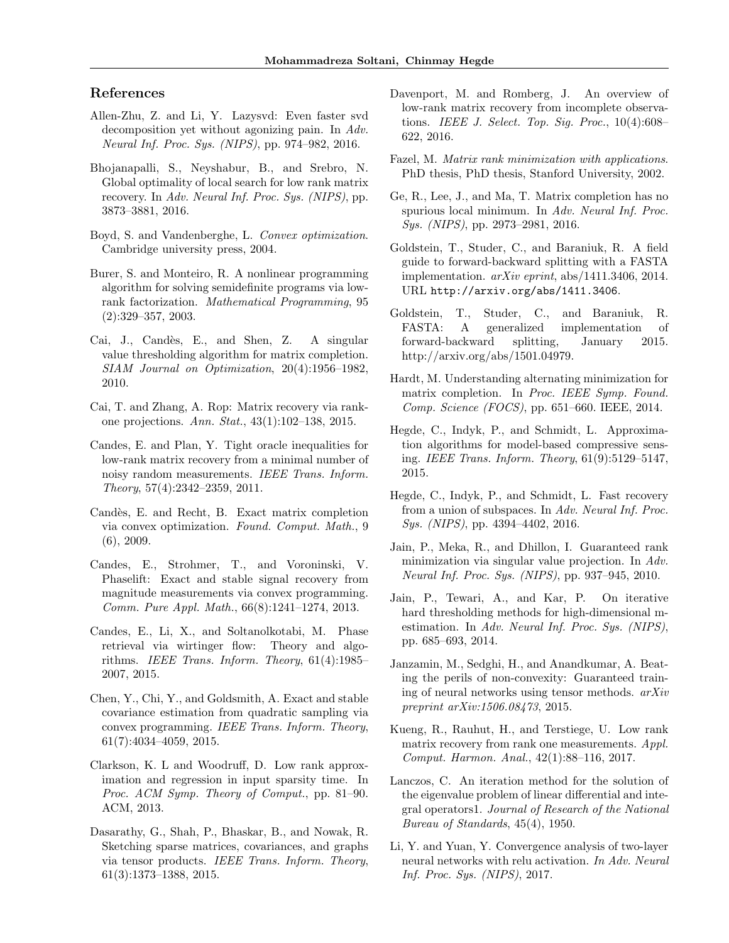# References

- Allen-Zhu, Z. and Li, Y. Lazysvd: Even faster svd decomposition yet without agonizing pain. In Adv. Neural Inf. Proc. Sys. (NIPS), pp. 974–982, 2016.
- Bhojanapalli, S., Neyshabur, B., and Srebro, N. Global optimality of local search for low rank matrix recovery. In Adv. Neural Inf. Proc. Sys. (NIPS), pp. 3873–3881, 2016.
- Boyd, S. and Vandenberghe, L. Convex optimization. Cambridge university press, 2004.
- Burer, S. and Monteiro, R. A nonlinear programming algorithm for solving semidefinite programs via lowrank factorization. Mathematical Programming, 95 (2):329–357, 2003.
- Cai, J., Candès, E., and Shen, Z. A singular value thresholding algorithm for matrix completion. SIAM Journal on Optimization, 20(4):1956–1982, 2010.
- Cai, T. and Zhang, A. Rop: Matrix recovery via rankone projections. Ann. Stat., 43(1):102–138, 2015.
- Candes, E. and Plan, Y. Tight oracle inequalities for low-rank matrix recovery from a minimal number of noisy random measurements. IEEE Trans. Inform. Theory, 57(4):2342–2359, 2011.
- Candès, E. and Recht, B. Exact matrix completion via convex optimization. Found. Comput. Math., 9 (6), 2009.
- Candes, E., Strohmer, T., and Voroninski, V. Phaselift: Exact and stable signal recovery from magnitude measurements via convex programming. Comm. Pure Appl. Math., 66(8):1241–1274, 2013.
- Candes, E., Li, X., and Soltanolkotabi, M. Phase retrieval via wirtinger flow: Theory and algorithms. IEEE Trans. Inform. Theory, 61(4):1985– 2007, 2015.
- Chen, Y., Chi, Y., and Goldsmith, A. Exact and stable covariance estimation from quadratic sampling via convex programming. IEEE Trans. Inform. Theory, 61(7):4034–4059, 2015.
- Clarkson, K. L and Woodruff, D. Low rank approximation and regression in input sparsity time. In Proc. ACM Symp. Theory of Comput., pp. 81–90. ACM, 2013.
- Dasarathy, G., Shah, P., Bhaskar, B., and Nowak, R. Sketching sparse matrices, covariances, and graphs via tensor products. IEEE Trans. Inform. Theory, 61(3):1373–1388, 2015.
- Davenport, M. and Romberg, J. An overview of low-rank matrix recovery from incomplete observations. IEEE J. Select. Top. Sig. Proc.,  $10(4):608-$ 622, 2016.
- Fazel, M. *Matrix rank minimization with applications*. PhD thesis, PhD thesis, Stanford University, 2002.
- Ge, R., Lee, J., and Ma, T. Matrix completion has no spurious local minimum. In Adv. Neural Inf. Proc. Sys. (NIPS), pp. 2973–2981, 2016.
- Goldstein, T., Studer, C., and Baraniuk, R. A field guide to forward-backward splitting with a FASTA implementation.  $arXiv$  eprint, abs/1411.3406, 2014. URL http://arxiv.org/abs/1411.3406.
- Goldstein, T., Studer, C., and Baraniuk, R. FASTA: A generalized implementation of forward-backward splitting, January 2015. http://arxiv.org/abs/1501.04979.
- Hardt, M. Understanding alternating minimization for matrix completion. In Proc. IEEE Symp. Found. Comp. Science (FOCS), pp. 651–660. IEEE, 2014.
- Hegde, C., Indyk, P., and Schmidt, L. Approximation algorithms for model-based compressive sensing. IEEE Trans. Inform. Theory, 61(9):5129–5147, 2015.
- Hegde, C., Indyk, P., and Schmidt, L. Fast recovery from a union of subspaces. In Adv. Neural Inf. Proc. Sys. (NIPS), pp. 4394-4402, 2016.
- Jain, P., Meka, R., and Dhillon, I. Guaranteed rank minimization via singular value projection. In Adv. Neural Inf. Proc. Sys. (NIPS), pp. 937–945, 2010.
- Jain, P., Tewari, A., and Kar, P. On iterative hard thresholding methods for high-dimensional mestimation. In Adv. Neural Inf. Proc. Sys. (NIPS), pp. 685–693, 2014.
- Janzamin, M., Sedghi, H., and Anandkumar, A. Beating the perils of non-convexity: Guaranteed training of neural networks using tensor methods. arXiv preprint arXiv:1506.08473, 2015.
- Kueng, R., Rauhut, H., and Terstiege, U. Low rank matrix recovery from rank one measurements. Appl. Comput. Harmon. Anal., 42(1):88–116, 2017.
- Lanczos, C. An iteration method for the solution of the eigenvalue problem of linear differential and integral operators1. Journal of Research of the National Bureau of Standards, 45(4), 1950.
- Li, Y. and Yuan, Y. Convergence analysis of two-layer neural networks with relu activation. In Adv. Neural Inf. Proc. Sys. (NIPS), 2017.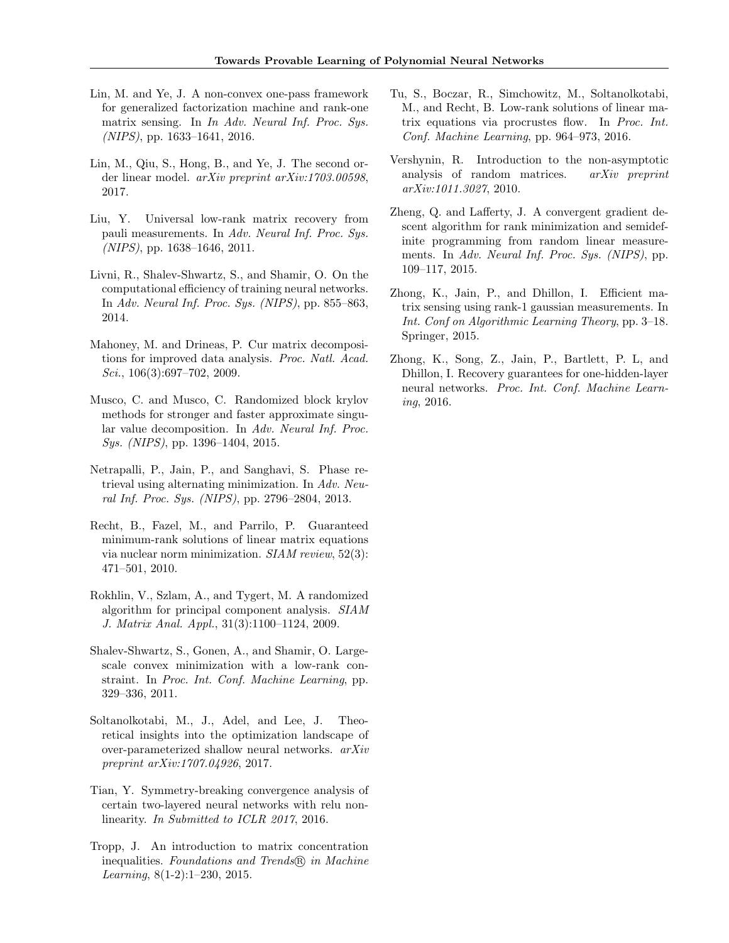- Lin, M. and Ye, J. A non-convex one-pass framework for generalized factorization machine and rank-one matrix sensing. In In Adv. Neural Inf. Proc. Sys. (NIPS), pp. 1633–1641, 2016.
- Lin, M., Qiu, S., Hong, B., and Ye, J. The second order linear model. arXiv preprint arXiv:1703.00598, 2017.
- Liu, Y. Universal low-rank matrix recovery from pauli measurements. In Adv. Neural Inf. Proc. Sys. (NIPS), pp. 1638–1646, 2011.
- Livni, R., Shalev-Shwartz, S., and Shamir, O. On the computational efficiency of training neural networks. In Adv. Neural Inf. Proc. Sys. (NIPS), pp. 855–863, 2014.
- Mahoney, M. and Drineas, P. Cur matrix decompositions for improved data analysis. Proc. Natl. Acad.  $Sci., 106(3):697-702, 2009.$
- Musco, C. and Musco, C. Randomized block krylov methods for stronger and faster approximate singular value decomposition. In Adv. Neural Inf. Proc. Sys. (NIPS), pp. 1396–1404, 2015.
- Netrapalli, P., Jain, P., and Sanghavi, S. Phase retrieval using alternating minimization. In Adv. Neural Inf. Proc. Sys. (NIPS), pp. 2796–2804, 2013.
- Recht, B., Fazel, M., and Parrilo, P. Guaranteed minimum-rank solutions of linear matrix equations via nuclear norm minimization. SIAM review, 52(3): 471–501, 2010.
- Rokhlin, V., Szlam, A., and Tygert, M. A randomized algorithm for principal component analysis. SIAM J. Matrix Anal. Appl., 31(3):1100–1124, 2009.
- Shalev-Shwartz, S., Gonen, A., and Shamir, O. Largescale convex minimization with a low-rank constraint. In Proc. Int. Conf. Machine Learning, pp. 329–336, 2011.
- Soltanolkotabi, M., J., Adel, and Lee, J. Theoretical insights into the optimization landscape of over-parameterized shallow neural networks. arXiv preprint arXiv:1707.04926, 2017.
- Tian, Y. Symmetry-breaking convergence analysis of certain two-layered neural networks with relu nonlinearity. In Submitted to ICLR 2017, 2016.
- Tropp, J. An introduction to matrix concentration inequalities. Foundations and Trends (R) in Machine *Learning*,  $8(1-2):1-230$ ,  $2015$ .
- Tu, S., Boczar, R., Simchowitz, M., Soltanolkotabi, M., and Recht, B. Low-rank solutions of linear matrix equations via procrustes flow. In Proc. Int. Conf. Machine Learning, pp. 964–973, 2016.
- Vershynin, R. Introduction to the non-asymptotic analysis of random matrices. arXiv preprint arXiv:1011.3027, 2010.
- Zheng, Q. and Lafferty, J. A convergent gradient descent algorithm for rank minimization and semidefinite programming from random linear measurements. In Adv. Neural Inf. Proc. Sys. (NIPS), pp. 109–117, 2015.
- Zhong, K., Jain, P., and Dhillon, I. Efficient matrix sensing using rank-1 gaussian measurements. In Int. Conf on Algorithmic Learning Theory, pp. 3–18. Springer, 2015.
- Zhong, K., Song, Z., Jain, P., Bartlett, P. L, and Dhillon, I. Recovery guarantees for one-hidden-layer neural networks. Proc. Int. Conf. Machine Learning, 2016.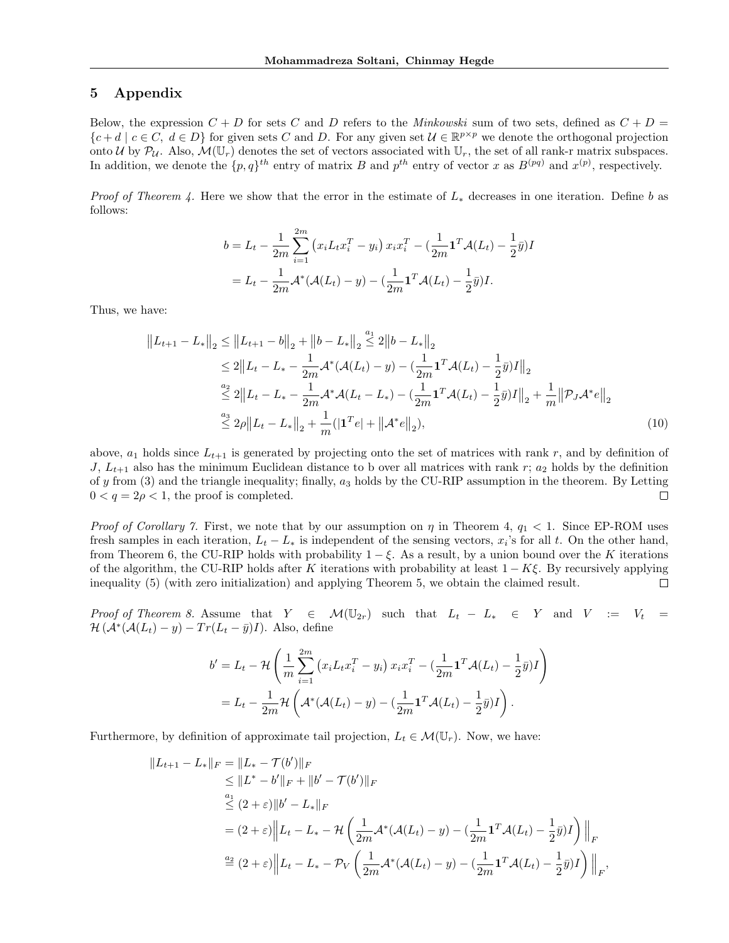# 5 Appendix

Below, the expression  $C + D$  for sets C and D refers to the *Minkowski* sum of two sets, defined as  $C + D =$  ${c + d \mid c \in C, d \in D}$  for given sets C and D. For any given set  $\mathcal{U} \in \mathbb{R}^{p \times p}$  we denote the orthogonal projection onto U by  $P_U$ . Also,  $\mathcal{M}(\mathbb{U}_r)$  denotes the set of vectors associated with  $\mathbb{U}_r$ , the set of all rank-r matrix subspaces. In addition, we denote the  $\{p,q\}^{th}$  entry of matrix B and  $p^{th}$  entry of vector x as  $B^{(pq)}$  and  $x^{(p)}$ , respectively.

*Proof of Theorem 4.* Here we show that the error in the estimate of  $L_*$  decreases in one iteration. Define b as follows:

$$
b = L_t - \frac{1}{2m} \sum_{i=1}^{2m} (x_i L_t x_i^T - y_i) x_i x_i^T - (\frac{1}{2m} \mathbf{1}^T \mathcal{A}(L_t) - \frac{1}{2} \bar{y}) I
$$
  
=  $L_t - \frac{1}{2m} \mathcal{A}^* (\mathcal{A}(L_t) - y) - (\frac{1}{2m} \mathbf{1}^T \mathcal{A}(L_t) - \frac{1}{2} \bar{y}) I.$ 

Thus, we have:

$$
||L_{t+1} - L_{*}||_{2} \le ||L_{t+1} - b||_{2} + ||b - L_{*}||_{2} \stackrel{a_{1}}{\leq} 2||b - L_{*}||_{2}
$$
  
\n
$$
\leq 2||L_{t} - L_{*} - \frac{1}{2m} \mathcal{A}^{*}(\mathcal{A}(L_{t}) - y) - (\frac{1}{2m} \mathbf{1}^{T} \mathcal{A}(L_{t}) - \frac{1}{2} \bar{y})I||_{2}
$$
  
\n
$$
\stackrel{a_{2}}{\leq} 2||L_{t} - L_{*} - \frac{1}{2m} \mathcal{A}^{*} \mathcal{A}(L_{t} - L_{*}) - (\frac{1}{2m} \mathbf{1}^{T} \mathcal{A}(L_{t}) - \frac{1}{2} \bar{y})I||_{2} + \frac{1}{m} ||\mathcal{P}_{J} \mathcal{A}^{*} e||_{2}
$$
  
\n
$$
\stackrel{a_{3}}{\leq} 2\rho ||L_{t} - L_{*}||_{2} + \frac{1}{m} (|\mathbf{1}^{T} e| + ||\mathcal{A}^{*} e||_{2}),
$$
\n(10)

above,  $a_1$  holds since  $L_{t+1}$  is generated by projecting onto the set of matrices with rank r, and by definition of J,  $L_{t+1}$  also has the minimum Euclidean distance to b over all matrices with rank r;  $a_2$  holds by the definition of y from (3) and the triangle inequality; finally,  $a_3$  holds by the CU-RIP assumption in the theorem. By Letting  $0 < q = 2\rho < 1$ , the proof is completed.  $\Box$ 

*Proof of Corollary 7.* First, we note that by our assumption on  $\eta$  in Theorem 4,  $q_1 < 1$ . Since EP-ROM uses fresh samples in each iteration,  $L_t - L_*$  is independent of the sensing vectors,  $x_i$ 's for all t. On the other hand, from Theorem 6, the CU-RIP holds with probability  $1 - \xi$ . As a result, by a union bound over the K iterations of the algorithm, the CU-RIP holds after K iterations with probability at least  $1 - K\xi$ . By recursively applying inequality (5) (with zero initialization) and applying Theorem 5, we obtain the claimed result. П

Proof of Theorem 8. Assume that  $Y \in \mathcal{M}(\mathbb{U}_{2r})$  such that  $L_t - L_* \in Y$  and  $V := V_t =$  $\mathcal{H}(\mathcal{A}^*(\mathcal{A}(L_t) - y) - Tr(L_t - \bar{y})I)$ . Also, define

$$
b' = L_t - \mathcal{H}\left(\frac{1}{m}\sum_{i=1}^{2m} \left(x_i L_t x_i^T - y_i\right) x_i x_i^T - \left(\frac{1}{2m}\mathbf{1}^T \mathcal{A}(L_t) - \frac{1}{2}\bar{y}\right) I\right)
$$
  
=  $L_t - \frac{1}{2m} \mathcal{H}\left(\mathcal{A}^*(\mathcal{A}(L_t) - y) - \left(\frac{1}{2m}\mathbf{1}^T \mathcal{A}(L_t) - \frac{1}{2}\bar{y}\right) I\right).$ 

Furthermore, by definition of approximate tail projection,  $L_t \in \mathcal{M}(\mathbb{U}_r)$ . Now, we have:

$$
||L_{t+1} - L_{*}||_{F} = ||L_{*} - \mathcal{T}(b')||_{F}
$$
  
\n
$$
\leq ||L^{*} - b'||_{F} + ||b' - \mathcal{T}(b')||_{F}
$$
  
\n
$$
\leq (2 + \varepsilon)||b' - L_{*}||_{F}
$$
  
\n
$$
= (2 + \varepsilon)||L_{t} - L_{*} - \mathcal{H}\left(\frac{1}{2m}\mathcal{A}^{*}(\mathcal{A}(L_{t}) - y) - (\frac{1}{2m}\mathbf{1}^{T}\mathcal{A}(L_{t}) - \frac{1}{2}\bar{y})I\right)||_{F}
$$
  
\n
$$
\stackrel{a_{2}}{=} (2 + \varepsilon)||L_{t} - L_{*} - \mathcal{P}_{V}\left(\frac{1}{2m}\mathcal{A}^{*}(\mathcal{A}(L_{t}) - y) - (\frac{1}{2m}\mathbf{1}^{T}\mathcal{A}(L_{t}) - \frac{1}{2}\bar{y})I\right)||_{F},
$$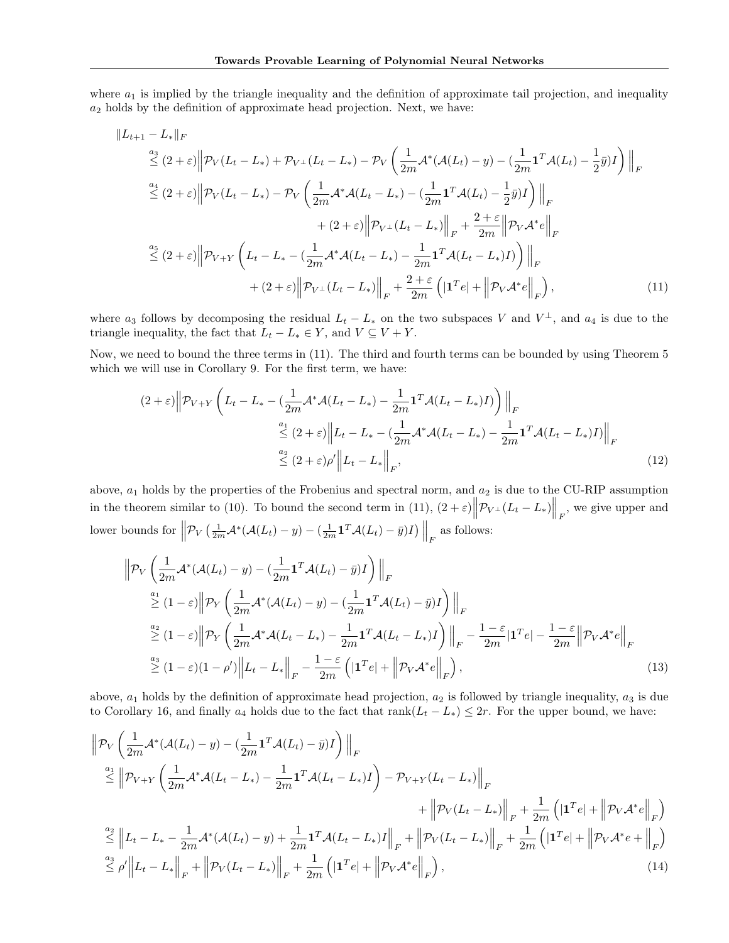where  $a_1$  is implied by the triangle inequality and the definition of approximate tail projection, and inequality  $a_2$  holds by the definition of approximate head projection. Next, we have:

$$
||L_{t+1} - L_{*}||_{F}
$$
\n
$$
\leq (2 + \varepsilon) \left\| \mathcal{P}_{V}(L_{t} - L_{*}) + \mathcal{P}_{V^{\perp}}(L_{t} - L_{*}) - \mathcal{P}_{V} \left( \frac{1}{2m} \mathcal{A}^{*} (\mathcal{A}(L_{t}) - y) - (\frac{1}{2m} \mathbf{1}^{T} \mathcal{A}(L_{t}) - \frac{1}{2} \bar{y}) I \right) \right\|_{F}
$$
\n
$$
\leq (2 + \varepsilon) \left\| \mathcal{P}_{V}(L_{t} - L_{*}) - \mathcal{P}_{V} \left( \frac{1}{2m} \mathcal{A}^{*} \mathcal{A}(L_{t} - L_{*}) - (\frac{1}{2m} \mathbf{1}^{T} \mathcal{A}(L_{t}) - \frac{1}{2} \bar{y}) I \right) \right\|_{F}
$$
\n
$$
+ (2 + \varepsilon) \left\| \mathcal{P}_{V^{\perp}}(L_{t} - L_{*}) \right\|_{F} + \frac{2 + \varepsilon}{2m} \left\| \mathcal{P}_{V} \mathcal{A}^{*} e \right\|_{F}
$$
\n
$$
\leq (2 + \varepsilon) \left\| \mathcal{P}_{V+Y} \left( L_{t} - L_{*} - (\frac{1}{2m} \mathcal{A}^{*} \mathcal{A}(L_{t} - L_{*}) - \frac{1}{2m} \mathbf{1}^{T} \mathcal{A}(L_{t} - L_{*}) I \right) \right) \right\|_{F}
$$
\n
$$
+ (2 + \varepsilon) \left\| \mathcal{P}_{V^{\perp}}(L_{t} - L_{*}) \right\|_{F} + \frac{2 + \varepsilon}{2m} \left( |\mathbf{1}^{T} e| + \left\| \mathcal{P}_{V} \mathcal{A}^{*} e \right\|_{F} \right), \tag{11}
$$

where  $a_3$  follows by decomposing the residual  $L_t - L_*$  on the two subspaces V and  $V^{\perp}$ , and  $a_4$  is due to the triangle inequality, the fact that  $L_t - L_* \in Y$ , and  $V \subseteq V + Y$ .

Now, we need to bound the three terms in (11). The third and fourth terms can be bounded by using Theorem 5 which we will use in Corollary 9. For the first term, we have:

$$
(2+\varepsilon)\left\|\mathcal{P}_{V+Y}\left(L_t-L_*-(\frac{1}{2m}\mathcal{A}^*\mathcal{A}(L_t-L_*)-\frac{1}{2m}\mathbf{1}^T\mathcal{A}(L_t-L_*)I)\right)\right\|_F
$$
  

$$
\leq (2+\varepsilon)\left\|L_t-L_*-(\frac{1}{2m}\mathcal{A}^*\mathcal{A}(L_t-L_*)-\frac{1}{2m}\mathbf{1}^T\mathcal{A}(L_t-L_*)I)\right\|_F
$$
  

$$
\leq (2+\varepsilon)\rho'\left\|L_t-L_*\right\|_F,
$$
\n(12)

above,  $a_1$  holds by the properties of the Frobenius and spectral norm, and  $a_2$  is due to the CU-RIP assumption in the theorem similar to (10). To bound the second term in (11),  $(2 + \varepsilon) \|\mathcal{P}_{V^{\perp}}(L_t - L_*)\|_F$ , we give upper and lower bounds for  $\left\|\mathcal{P}_V\left(\frac{1}{2m}\mathcal{A}^*(\mathcal{A}(L_t)-y)-\left(\frac{1}{2m}\mathbf{1}^T\mathcal{A}(L_t)-\bar{y}\right)I\right)\right\|_F$  as follows:

$$
\|\mathcal{P}_{V}\left(\frac{1}{2m}\mathcal{A}^{*}(\mathcal{A}(L_{t})-y)-\left(\frac{1}{2m}\mathbf{1}^{T}\mathcal{A}(L_{t})-\bar{y}\right)I\right)\|_{F}
$$
\n
$$
\stackrel{a_{1}}{\geq}(1-\varepsilon)\|\mathcal{P}_{Y}\left(\frac{1}{2m}\mathcal{A}^{*}(\mathcal{A}(L_{t})-y)-\left(\frac{1}{2m}\mathbf{1}^{T}\mathcal{A}(L_{t})-\bar{y}\right)I\right)\|_{F}
$$
\n
$$
\stackrel{a_{2}}{\geq}(1-\varepsilon)\|\mathcal{P}_{Y}\left(\frac{1}{2m}\mathcal{A}^{*}\mathcal{A}(L_{t}-L_{*})-\frac{1}{2m}\mathbf{1}^{T}\mathcal{A}(L_{t}-L_{*})I\right)\|_{F}-\frac{1-\varepsilon}{2m}|\mathbf{1}^{T}e|-\frac{1-\varepsilon}{2m}\|\mathcal{P}_{V}\mathcal{A}^{*}e\|_{F}
$$
\n
$$
\stackrel{a_{3}}{\geq}(1-\varepsilon)(1-\rho')\|L_{t}-L_{*}\|_{F}-\frac{1-\varepsilon}{2m}\left(|\mathbf{1}^{T}e|+\left\|\mathcal{P}_{V}\mathcal{A}^{*}e\right\|_{F}\right),\tag{13}
$$

above,  $a_1$  holds by the definition of approximate head projection,  $a_2$  is followed by triangle inequality,  $a_3$  is due to Corollary 16, and finally  $a_4$  holds due to the fact that rank $(L_t - L_*) \leq 2r$ . For the upper bound, we have:

$$
\|\mathcal{P}_{V}\left(\frac{1}{2m}\mathcal{A}^{*}(\mathcal{A}(L_{t})-y)-(\frac{1}{2m}\mathbf{1}^{T}\mathcal{A}(L_{t})-\bar{y})I\right)\|_{F} \n\overset{a_{1}}{\leq}\|\mathcal{P}_{V+Y}\left(\frac{1}{2m}\mathcal{A}^{*}\mathcal{A}(L_{t}-L_{*})-\frac{1}{2m}\mathbf{1}^{T}\mathcal{A}(L_{t}-L_{*})I\right)-\mathcal{P}_{V+Y}(L_{t}-L_{*})\|_{F} \n+\|\mathcal{P}_{V}(L_{t}-L_{*})\|_{F}+\frac{1}{2m}\left(\left|\mathbf{1}^{T}e\right|+\left\|\mathcal{P}_{V}\mathcal{A}^{*}e\right\|_{F}\right) \n\overset{a_{2}}{\leq}\|L_{t}-L_{*}-\frac{1}{2m}\mathcal{A}^{*}(\mathcal{A}(L_{t})-y)+\frac{1}{2m}\mathbf{1}^{T}\mathcal{A}(L_{t}-L_{*})I\|_{F}+\|\mathcal{P}_{V}(L_{t}-L_{*})\|_{F}+\frac{1}{2m}\left(\left|\mathbf{1}^{T}e\right|+\left\|\mathcal{P}_{V}\mathcal{A}^{*}e+\right\|_{F}\right) \n\overset{a_{3}}{\leq}\rho'\|L_{t}-L_{*}\|_{F}+\|\mathcal{P}_{V}(L_{t}-L_{*})\|_{F}+\frac{1}{2m}\left(\left|\mathbf{1}^{T}e\right|+\left\|\mathcal{P}_{V}\mathcal{A}^{*}e\right\|_{F}\right),
$$
\n(14)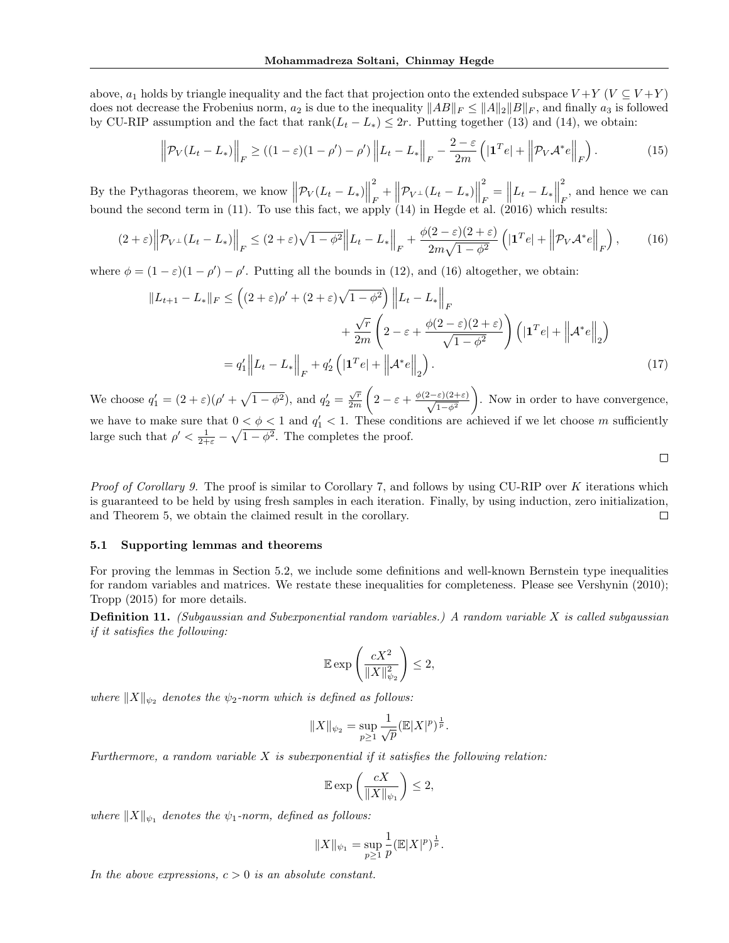above,  $a_1$  holds by triangle inequality and the fact that projection onto the extended subspace  $V + Y$  ( $V \subseteq V + Y$ ) does not decrease the Frobenius norm,  $a_2$  is due to the inequality  $||AB||_F \le ||A||_2 ||B||_F$ , and finally  $a_3$  is followed by CU-RIP assumption and the fact that  $rank(L_t - L_*) \leq 2r$ . Putting together (13) and (14), we obtain:

$$
\left\| \mathcal{P}_V(L_t - L_*) \right\|_F \ge \left( (1 - \varepsilon)(1 - \rho') - \rho' \right) \left\| L_t - L_* \right\|_F - \frac{2 - \varepsilon}{2m} \left( \left| \mathbf{1}^T e \right| + \left\| \mathcal{P}_V \mathcal{A}^* e \right\|_F \right). \tag{15}
$$

By the Pythagoras theorem, we know  $\left\| \mathcal{P}_V (L_t - L_*) \right\|$ 2  $\frac{d^2}{d^2} + \left\| \mathcal{P}_{V^{\perp}}(L_t - L_*) \right\|$ 2  $\frac{2}{F} = ||L_t - L_*||$ 2  $_F$ , and hence we can bound the second term in (11). To use this fact, we apply (14) in Hegde et al. (2016) which results:

$$
(2+\varepsilon)\left\|\mathcal{P}_{V^{\perp}}(L_{t}-L_{*})\right\|_{F} \leq (2+\varepsilon)\sqrt{1-\phi^{2}}\left\|L_{t}-L_{*}\right\|_{F} + \frac{\phi(2-\varepsilon)(2+\varepsilon)}{2m\sqrt{1-\phi^{2}}}\left(\left|1^{T}e\right| + \left\|\mathcal{P}_{V}\mathcal{A}^{*}e\right\|_{F}\right),\tag{16}
$$

where  $\phi = (1 - \varepsilon)(1 - \rho') - \rho'$ . Putting all the bounds in (12), and (16) altogether, we obtain:

$$
||L_{t+1} - L_*||_F \leq \left( (2+\varepsilon)\rho' + (2+\varepsilon)\sqrt{1-\phi^2} \right) \left\| L_t - L_* \right\|_F
$$
  
+ 
$$
\frac{\sqrt{r}}{2m} \left( 2 - \varepsilon + \frac{\phi(2-\varepsilon)(2+\varepsilon)}{\sqrt{1-\phi^2}} \right) \left( |\mathbf{1}^T e| + \left\| \mathcal{A}^* e \right\|_2 \right)
$$
  
= 
$$
q_1' || L_t - L_* ||_F + q_2' \left( |\mathbf{1}^T e| + \left\| \mathcal{A}^* e \right\|_2 \right).
$$
 (17)

We choose  $q'_1 = (2 + \varepsilon)(\rho' + \sqrt{1 - \phi^2})$ , and  $q'_2 = \frac{\sqrt{r}}{2m}$ 2m  $\left(2-\varepsilon+\frac{\phi(2-\varepsilon)(2+\varepsilon)}{\sqrt{1-\phi^2}}\right)$  . Now in order to have convergence, we have to make sure that  $0 < \phi < 1$  and  $q'_1 < 1$ . These conditions are achieved if we let choose m sufficiently large such that  $\rho' < \frac{1}{2+\varepsilon} - \sqrt{1-\phi^2}$ . The completes the proof.

 $\Box$ 

Proof of Corollary 9. The proof is similar to Corollary 7, and follows by using CU-RIP over K iterations which is guaranteed to be held by using fresh samples in each iteration. Finally, by using induction, zero initialization, and Theorem 5, we obtain the claimed result in the corollary.  $\Box$ 

#### 5.1 Supporting lemmas and theorems

For proving the lemmas in Section 5.2, we include some definitions and well-known Bernstein type inequalities for random variables and matrices. We restate these inequalities for completeness. Please see Vershynin (2010); Tropp (2015) for more details.

**Definition 11.** (Subgaussian and Subexponential random variables.) A random variable  $X$  is called subgaussian if it satisfies the following:

$$
\mathbb{E}\exp\left(\frac{cX^2}{\|X\|_{\psi_2}^2}\right)\leq 2,
$$

where  $||X||_{\psi_2}$  denotes the  $\psi_2$ -norm which is defined as follows:

$$
||X||_{\psi_2} = \sup_{p \ge 1} \frac{1}{\sqrt{p}} (E|X|^p)^{\frac{1}{p}}.
$$

Furthermore, a random variable  $X$  is subexponential if it satisfies the following relation:

$$
\mathbb{E}\exp\left(\frac{cX}{\|X\|_{\psi_1}}\right)\leq 2,
$$

where  $||X||_{\psi_1}$  denotes the  $\psi_1$ -norm, defined as follows:

$$
||X||_{\psi_1} = \sup_{p \ge 1} \frac{1}{p} (E|X|^p)^{\frac{1}{p}}.
$$

In the above expressions,  $c > 0$  is an absolute constant.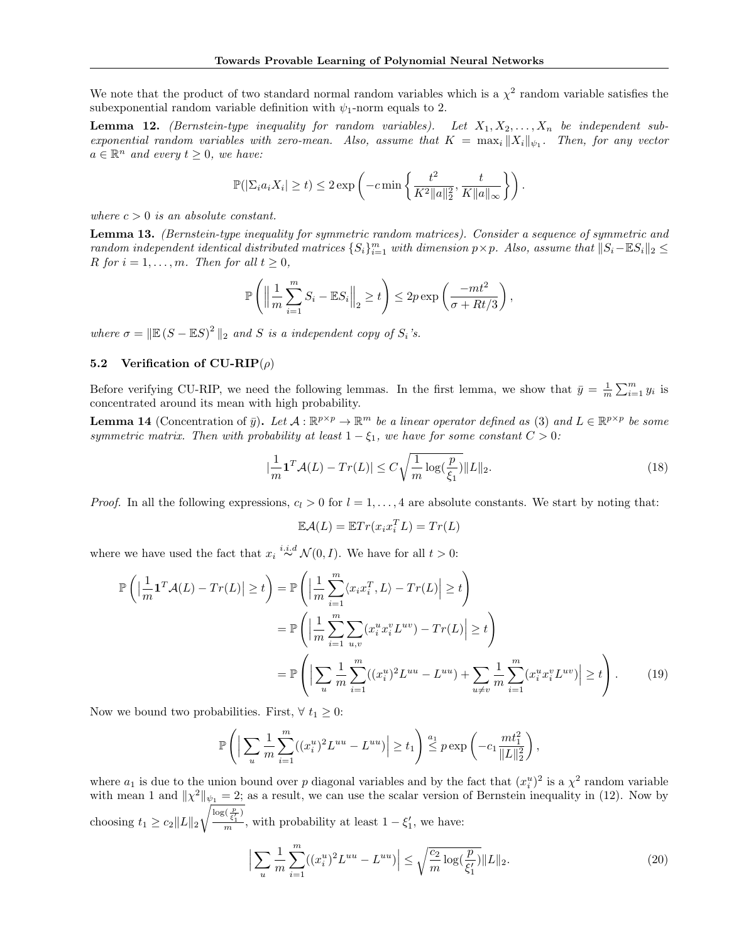We note that the product of two standard normal random variables which is a  $\chi^2$  random variable satisfies the subexponential random variable definition with  $\psi_1$ -norm equals to 2.

**Lemma 12.** (Bernstein-type inequality for random variables). Let  $X_1, X_2, \ldots, X_n$  be independent subexponential random variables with zero-mean. Also, assume that  $K = \max_i ||X_i||_{\psi_1}$ . Then, for any vector  $a \in \mathbb{R}^n$  and every  $t \geq 0$ , we have:

$$
\mathbb{P}(|\Sigma_i a_i X_i| \ge t) \le 2 \exp\left(-c \min\left\{\frac{t^2}{K^2 \|a\|_2^2}, \frac{t}{K \|a\|_{\infty}}\right\}\right).
$$

where  $c > 0$  is an absolute constant.

Lemma 13. (Bernstein-type inequality for symmetric random matrices). Consider a sequence of symmetric and  $r$  and  $om$  independent identical distributed matrices  $\{S_i\}_{i=1}^m$  with dimension  $p \times p$ . Also, assume that  $||S_i - \mathbb{E}S_i||_2 \leq$ R for  $i = 1, \ldots, m$ . Then for all  $t \geq 0$ ,

$$
\mathbb{P}\left(\left\|\frac{1}{m}\sum_{i=1}^m S_i - \mathbb{E}S_i\right\|_2 \ge t\right) \le 2p \exp\left(\frac{-mt^2}{\sigma + Rt/3}\right),\,
$$

where  $\sigma = \|\mathbb{E}(S - \mathbb{E}S)^2\|_2$  and S is a independent copy of  $S_i$ 's.

### 5.2 Verification of  $CU-RIP(\rho)$

Before verifying CU-RIP, we need the following lemmas. In the first lemma, we show that  $\bar{y} = \frac{1}{m} \sum_{i=1}^{m} y_i$  is concentrated around its mean with high probability.

**Lemma 14** (Concentration of  $\bar{y}$ ). Let  $A: \mathbb{R}^{p \times p} \to \mathbb{R}^m$  be a linear operator defined as (3) and  $L \in \mathbb{R}^{p \times p}$  be some symmetric matrix. Then with probability at least  $1 - \xi_1$ , we have for some constant  $C > 0$ :

$$
\left|\frac{1}{m}\mathbf{1}^T\mathcal{A}(L) - Tr(L)\right| \le C\sqrt{\frac{1}{m}\log(\frac{p}{\xi_1})} \|L\|_2.
$$
\n(18)

*Proof.* In all the following expressions,  $c_l > 0$  for  $l = 1, \ldots, 4$  are absolute constants. We start by noting that:

$$
\mathbb{E}\mathcal{A}(L) = \mathbb{E}Tr(x_i x_i^T L) = Tr(L)
$$

where we have used the fact that  $x_i \stackrel{i.i.d}{\sim} \mathcal{N}(0, I)$ . We have for all  $t > 0$ :

$$
\mathbb{P}\left(\left|\frac{1}{m}\mathbf{1}^T\mathcal{A}(L) - Tr(L)\right| \ge t\right) = \mathbb{P}\left(\left|\frac{1}{m}\sum_{i=1}^m \langle x_i x_i^T, L \rangle - Tr(L)\right| \ge t\right)
$$

$$
= \mathbb{P}\left(\left|\frac{1}{m}\sum_{i=1}^m \sum_{u,v} (x_i^u x_i^v L^{uv}) - Tr(L)\right| \ge t\right)
$$

$$
= \mathbb{P}\left(\left|\sum_u \frac{1}{m}\sum_{i=1}^m ((x_i^u)^2 L^{uu} - L^{uu}) + \sum_{u \ne v} \frac{1}{m}\sum_{i=1}^m (x_i^u x_i^v L^{uv})\right| \ge t\right).
$$
(19)

Now we bound two probabilities. First,  $\forall t_1 \geq 0$ :

$$
\mathbb{P}\left(\left|\sum_{u}\frac{1}{m}\sum_{i=1}^{m}((x_i^u)^2L^{uu}-L^{uu})\right|\geq t_1\right)\stackrel{a_1}{\leq}p\exp\left(-c_1\frac{mt_1^2}{\|L\|_2^2}\right),
$$

where  $a_1$  is due to the union bound over p diagonal variables and by the fact that  $(x_i^u)^2$  is a  $\chi^2$  random variable with mean 1 and  $\|\chi^2\|_{\psi_1} = 2$ ; as a result, we can use the scalar version of Bernstein inequality in (12). Now by choosing  $t_1 \geq c_2 ||L||_2$  $\sqrt{\frac{\log(\frac{p}{\xi_1})}{m}}$ , with probability at least  $1 - \xi_1'$ , we have:

$$
\left| \sum_{u} \frac{1}{m} \sum_{i=1}^{m} ((x_i^u)^2 L^{uu} - L^{uu}) \right| \le \sqrt{\frac{c_2}{m} \log(\frac{p}{\xi_1'})} \|L\|_2.
$$
 (20)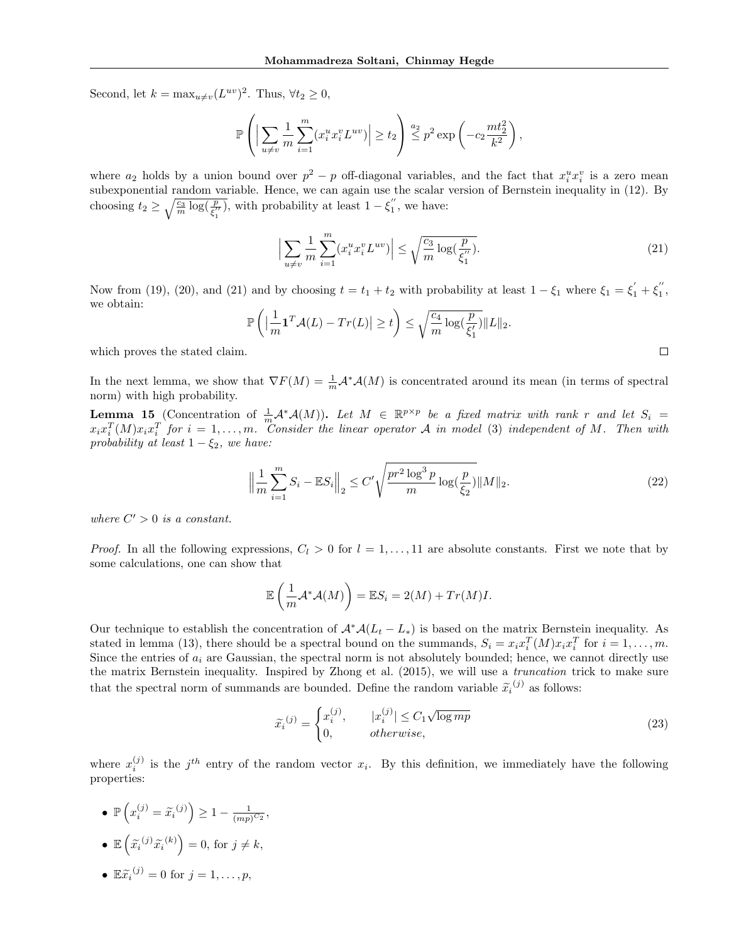Second, let  $k = \max_{u \neq v} (L^{uv})^2$ . Thus,  $\forall t_2 \geq 0$ ,

$$
\mathbb{P}\left(\left|\sum_{u\neq v}\frac{1}{m}\sum_{i=1}^m (x_i^ux_i^vL^{uv})\right|\geq t_2\right)\stackrel{a_2}{\leq} p^2\exp\left(-c_2\frac{mt_2^2}{k^2}\right),
$$

where  $a_2$  holds by a union bound over  $p^2 - p$  off-diagonal variables, and the fact that  $x_i^u x_i^v$  is a zero mean subexponential random variable. Hence, we can again use the scalar version of Bernstein inequality in (12). By choosing  $t_2 \ge \sqrt{\frac{c_3}{m} \log(\frac{p}{\xi_1^{\prime\prime}})}$ , with probability at least  $1 - \xi_1^{\prime\prime}$ , we have:

$$
\Big| \sum_{u \neq v} \frac{1}{m} \sum_{i=1}^{m} (x_i^u x_i^v L^{uv}) \Big| \le \sqrt{\frac{c_3}{m} \log(\frac{p}{\xi_1^{\prime\prime}})}.
$$
\n(21)

 $\Box$ 

Now from (19), (20), and (21) and by choosing  $t = t_1 + t_2$  with probability at least  $1 - \xi_1$  where  $\xi_1 = \xi'_1 + \xi''_1$ , we obtain:

$$
\mathbb{P}\left(\left|\frac{1}{m}\mathbf{1}^T\mathcal{A}(L) - Tr(L)\right| \geq t\right) \leq \sqrt{\frac{c_4}{m}\log(\frac{p}{\xi_1'})} \|L\|_2.
$$

which proves the stated claim.

In the next lemma, we show that  $\nabla F(M) = \frac{1}{m} A^* A(M)$  is concentrated around its mean (in terms of spectral norm) with high probability.

**Lemma 15** (Concentration of  $\frac{1}{m} \mathcal{A}^* \mathcal{A}(M)$ ). Let  $M \in \mathbb{R}^{p \times p}$  be a fixed matrix with rank r and let  $S_i$  $x_ix_i^T(M)x_ix_i^T$  for  $i = 1, \ldots, m$ . Consider the linear operator A in model (3) independent of M. Then with probability at least  $1 - \xi_2$ , we have:

$$
\left\| \frac{1}{m} \sum_{i=1}^{m} S_i - \mathbb{E} S_i \right\|_2 \le C' \sqrt{\frac{pr^2 \log^3 p}{m} \log(\frac{p}{\xi_2})} \|M\|_2.
$$
 (22)

where  $C' > 0$  is a constant.

*Proof.* In all the following expressions,  $C_l > 0$  for  $l = 1, \ldots, 11$  are absolute constants. First we note that by some calculations, one can show that

$$
\mathbb{E}\left(\frac{1}{m}\mathcal{A}^*\mathcal{A}(M)\right) = \mathbb{E}S_i = 2(M) + Tr(M)I.
$$

Our technique to establish the concentration of  $\mathcal{A}^*\mathcal{A}(L_t - L_*)$  is based on the matrix Bernstein inequality. As stated in lemma (13), there should be a spectral bound on the summands,  $S_i = x_i x_i^T(M) x_i x_i^T$  for  $i = 1, ..., m$ . Since the entries of  $a_i$  are Gaussian, the spectral norm is not absolutely bounded; hence, we cannot directly use the matrix Bernstein inequality. Inspired by Zhong et al. (2015), we will use a truncation trick to make sure that the spectral norm of summands are bounded. Define the random variable  $\tilde{x}_i^{(j)}$  as follows:

$$
\widetilde{x_i}^{(j)} = \begin{cases}\nx_i^{(j)}, & |x_i^{(j)}| \le C_1 \sqrt{\log mp} \\
0, & \text{otherwise,}\n\end{cases} \tag{23}
$$

where  $x_i^{(j)}$  is the j<sup>th</sup> entry of the random vector  $x_i$ . By this definition, we immediately have the following properties:

- $\mathbb{P}\left(x_i^{(j)} = \widetilde{x}_i^{(j)}\right) \geq 1 \frac{1}{(mp)}$  $\frac{1}{(mp)^{C_2}},$
- $\mathbb{E}\left(\tilde{x_i}^{(j)}\tilde{x_i}^{(k)}\right) = 0$ , for  $j \neq k$ ,
- $\mathbb{E} \widetilde{x_i}^{(j)} = 0$  for  $j = 1, \ldots, p$ ,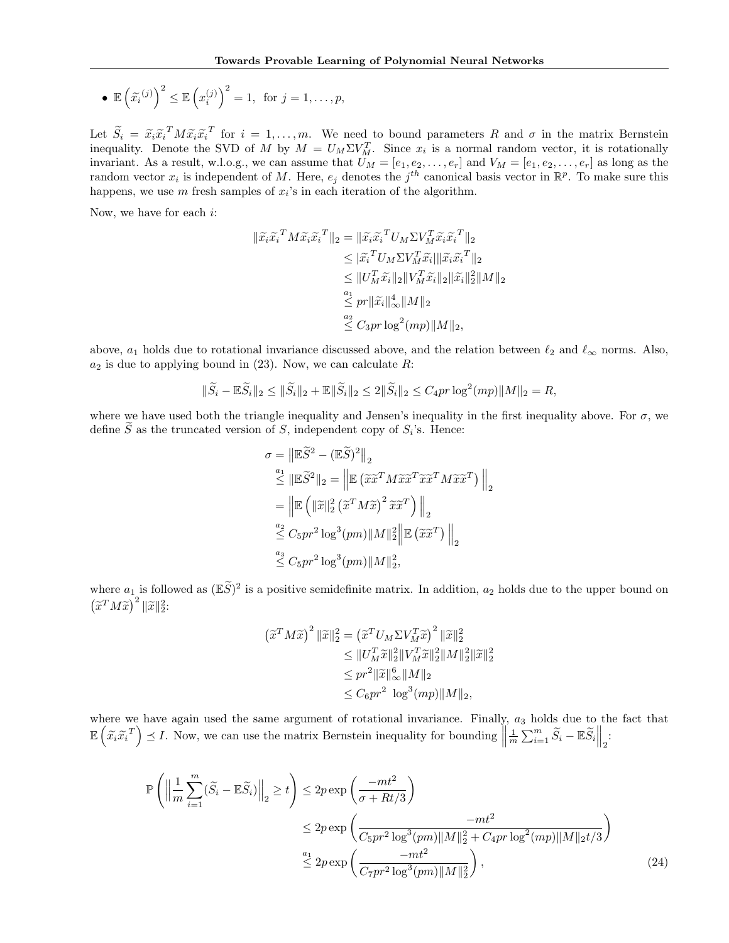• 
$$
\mathbb{E}\left(\widetilde{x_i}^{(j)}\right)^2 \leq \mathbb{E}\left(x_i^{(j)}\right)^2 = 1
$$
, for  $j = 1, ..., p$ ,

Let  $\widetilde{S}_i = \widetilde{x}_i \widetilde{x}_i^T M \widetilde{x}_i \widetilde{x}_i^T$  for  $i = 1, ..., m$ . We need to bound parameters R and  $\sigma$  in the matrix Bernstein<br>inoquality. Denote the SVD of M by  $M = U \cdot \Sigma V^T$ . Since  $x_i$  is a normal random vector, it is r inequality. Denote the SVD of M by  $M = U_M \Sigma V_M^T$ . Since  $x_i$  is a normal random vector, it is rotationally invariant. As a result, w.l.o.g., we can assume that  $U_M = [e_1, e_2, \ldots, e_r]$  and  $V_M = [e_1, e_2, \ldots, e_r]$  as long as the random vector  $x_i$  is independent of M. Here,  $e_j$  denotes the  $j^{th}$  canonical basis vector in  $\mathbb{R}^p$ . To make sure this happens, we use  $m$  fresh samples of  $x_i$ 's in each iteration of the algorithm.

Now, we have for each i:

$$
\begin{aligned} \|\widetilde{x}_i\widetilde{x}_i^T M \widetilde{x}_i\widetilde{x}_i^T\|_2 &= \|\widetilde{x}_i\widetilde{x}_i^T U_M \Sigma V_M^T \widetilde{x}_i\widetilde{x}_i^T\|_2 \\ &\leq |\widetilde{x}_i^T U_M \Sigma V_M^T \widetilde{x}_i\| \|\widetilde{x}_i\widetilde{x}_i^T\|_2 \\ &\leq \|U_M^T \widetilde{x}_i\|_2 \|V_M^T \widetilde{x}_i\|_2 \|\widetilde{x}_i\|_2^2 \|M\|_2 \\ &\stackrel{a_1}{\leq} pr \|\widetilde{x}_i\|_\infty^4 \|M\|_2 \\ &\stackrel{a_2}{\leq} C_3 pr \log^2(mp) \|M\|_2, \end{aligned}
$$

above,  $a_1$  holds due to rotational invariance discussed above, and the relation between  $\ell_2$  and  $\ell_\infty$  norms. Also,  $a_2$  is due to applying bound in (23). Now, we can calculate R:

$$
\|\widetilde{S}_i - \mathbb{E}\widetilde{S}_i\|_2 \le \|\widetilde{S}_i\|_2 + \mathbb{E}\|\widetilde{S}_i\|_2 \le 2\|\widetilde{S}_i\|_2 \le C_4 pr \log^2(mp)\|M\|_2 = R,
$$

where we have used both the triangle inequality and Jensen's inequality in the first inequality above. For  $\sigma$ , we define S as the truncated version of S, independent copy of  $S_i$ 's. Hence:

$$
\sigma = \left\| \mathbb{E}\widetilde{S}^2 - (\mathbb{E}\widetilde{S})^2 \right\|_2
$$
  
\n
$$
\stackrel{a_1}{\leq} \left\| \mathbb{E}\widetilde{S}^2 \right\|_2 = \left\| \mathbb{E}\left(\widetilde{x}\widetilde{x}^T M \widetilde{x}\widetilde{x}^T \widetilde{x}\widetilde{x}^T M \widetilde{x}\widetilde{x}^T\right) \right\|_2
$$
  
\n
$$
= \left\| \mathbb{E}\left(\left\|\widetilde{x}\right\|_2^2 \left(\widetilde{x}^T M \widetilde{x}\right)^2 \widetilde{x}\widetilde{x}^T\right) \right\|_2
$$
  
\n
$$
\stackrel{a_2}{\leq} C_5 pr^2 \log^3 (pm) \|M\|_2^2 \left\| \mathbb{E}\left(\widetilde{x}\widetilde{x}^T\right) \right\|_2
$$
  
\n
$$
\stackrel{a_3}{\leq} C_5 pr^2 \log^3 (pm) \|M\|_2^2,
$$

where  $a_1$  is followed as  $(\mathbb{E}\widetilde{S})^2$  is a positive semidefinite matrix. In addition,  $a_2$  holds due to the upper bound on  $(\widetilde{x}^T M \widetilde{x})^2 ||\widetilde{x}||_2^2$ :

$$
\left(\tilde{x}^T M \tilde{x}\right)^2 \|\tilde{x}\|_2^2 = \left(\tilde{x}^T U_M \Sigma V_M^T \tilde{x}\right)^2 \|\tilde{x}\|_2^2 \n\leq \|U_M^T \tilde{x}\|_2^2 \|V_M^T \tilde{x}\|_2^2 \|M\|_2^2 \|\tilde{x}\|_2^2 \n\leq pr^2 \|\tilde{x}\|_{\infty}^6 \|M\|_2 \n\leq C_6 pr^2 \log^3 (mp) \|M\|_2,
$$

where we have again used the same argument of rotational invariance. Finally,  $a_3$  holds due to the fact that  $\mathbb{E}\left(\tilde{x}_i\tilde{x}_i^T\right) \preceq I$ . Now, we can use the matrix Bernstein inequality for bounding  $\parallel$  $\frac{1}{m}\sum_{i=1}^m \widetilde{S}_i - \mathbb{E}\widetilde{S}_i\Big\|_2$ :

$$
\mathbb{P}\left(\left\|\frac{1}{m}\sum_{i=1}^{m}(\widetilde{S}_{i}-\mathbb{E}\widetilde{S}_{i})\right\|_{2} \geq t\right) \leq 2p \exp\left(\frac{-mt^{2}}{\sigma+Rt/3}\right)
$$
  
\n
$$
\leq 2p \exp\left(\frac{-mt^{2}}{C_{5}pr^{2}\log^{3}(pm)\|M\|_{2}^{2}+C_{4}pr\log^{2}(mp)\|M\|_{2}t/3}\right)
$$
  
\n
$$
\stackrel{a_{1}}{\leq} 2p \exp\left(\frac{-mt^{2}}{C_{7}pr^{2}\log^{3}(pm)\|M\|_{2}^{2}}\right),
$$
\n(24)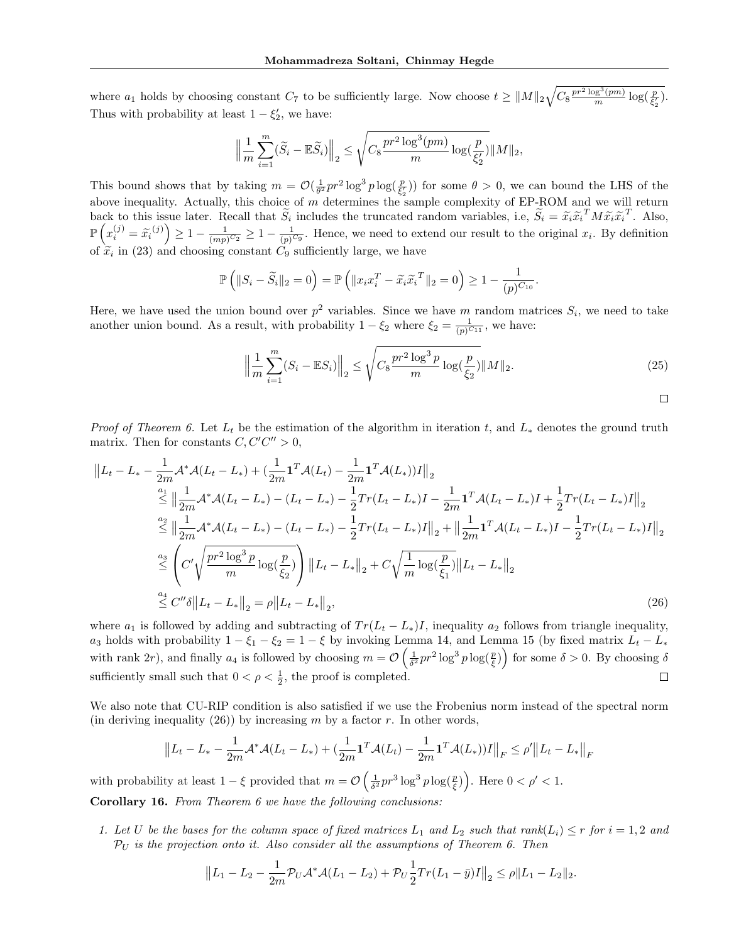where  $a_1$  holds by choosing constant  $C_7$  to be sufficiently large. Now choose  $t \geq ||M||_2 \sqrt{C_8 \frac{pr^2 \log^3(pm)}{m} \log(\frac{p}{\xi_2'})}$ . Thus with probability at least  $1 - \xi_2'$ , we have:

$$
\Big\|\frac{1}{m}\sum_{i=1}^m(\widetilde{S}_i-\mathbb{E}\widetilde{S}_i)\Big\|_2 \leq \sqrt{C_8\frac{pr^2\log^3(pm)}{m}\log(\frac{p}{\xi_2'})}\|M\|_2,
$$

This bound shows that by taking  $m = \mathcal{O}(\frac{1}{\theta^2}pr^2\log^3 p\log(\frac{p}{\xi_2}))$  for some  $\theta > 0$ , we can bound the LHS of the above inequality. Actually, this choice of m determines the sample complexity of EP-ROM and we will return back to this issue later. Recall that  $\widetilde{S}_i$  includes the truncated random variables, i.e,  $\widetilde{S}_i = \widetilde{x}_i \widetilde{x}_i^T M \widetilde{x}_i \widetilde{x}_i^T$ . Also,  $\mathbb{P}\left(x_i^{(j)} = \tilde{x}_i^{(j)}\right) \geq 1 - \frac{1}{(mp)}$  $\frac{1}{(mp)^{C_2}} \geq 1 - \frac{1}{(p)^{C_2}}$  $\frac{1}{(p)^{C_9}}$ . Hence, we need to extend our result to the original  $x_i$ . By definition of  $\tilde{x}_i$  in (23) and choosing constant  $C_9$  sufficiently large, we have

$$
\mathbb{P}\left(\|S_i - \widetilde{S}_i\|_2 = 0\right) = \mathbb{P}\left(\|x_i x_i^T - \widetilde{x}_i \widetilde{x}_i^T\|_2 = 0\right) \ge 1 - \frac{1}{(p)^{C_{10}}}.
$$

Here, we have used the union bound over  $p^2$  variables. Since we have m random matrices  $S_i$ , we need to take another union bound. As a result, with probability  $1 - \xi_2$  where  $\xi_2 = \frac{1}{(p)^{C_{11}}}$ , we have:

$$
\left\| \frac{1}{m} \sum_{i=1}^{m} (S_i - \mathbb{E} S_i) \right\|_2 \le \sqrt{C_8 \frac{pr^2 \log^3 p}{m} \log(\frac{p}{\xi_2})} \|M\|_2.
$$
 (25)

*Proof of Theorem 6.* Let  $L_t$  be the estimation of the algorithm in iteration t, and  $L_*$  denotes the ground truth matrix. Then for constants  $C, C'C'' > 0$ ,

$$
\|L_t - L_* - \frac{1}{2m} \mathcal{A}^* \mathcal{A} (L_t - L_*) + (\frac{1}{2m} \mathbf{1}^T \mathcal{A} (L_t) - \frac{1}{2m} \mathbf{1}^T \mathcal{A} (L_*) ) I \|_2
$$
  
\n
$$
\stackrel{a_1}{\leq} \left\| \frac{1}{2m} \mathcal{A}^* \mathcal{A} (L_t - L_*) - (L_t - L_*) - \frac{1}{2} Tr(L_t - L_*) I - \frac{1}{2m} \mathbf{1}^T \mathcal{A} (L_t - L_*) I + \frac{1}{2} Tr(L_t - L_*) I \|_2 \right\}
$$
  
\n
$$
\stackrel{a_2}{\leq} \left\| \frac{1}{2m} \mathcal{A}^* \mathcal{A} (L_t - L_*) - (L_t - L_*) - \frac{1}{2} Tr(L_t - L_*) I \|_2 + \left\| \frac{1}{2m} \mathbf{1}^T \mathcal{A} (L_t - L_*) I - \frac{1}{2} Tr(L_t - L_*) I \|_2 \right\}
$$
  
\n
$$
\stackrel{a_3}{\leq} \left( C' \sqrt{\frac{pr^2 \log^3 p}{m} \log(\frac{p}{\xi_2})} \right) \left\| L_t - L_* \right\|_2 + C \sqrt{\frac{1}{m} \log(\frac{p}{\xi_1})} \| L_t - L_* \|_2
$$
  
\n
$$
\stackrel{a_4}{\leq} C'' \delta \| L_t - L_* \|_2 = \rho \| L_t - L_* \|_2, \tag{26}
$$

where  $a_1$  is followed by adding and subtracting of  $Tr(L_t - L_*)I$ , inequality  $a_2$  follows from triangle inequality, a<sub>3</sub> holds with probability  $1 - \xi_1 - \xi_2 = 1 - \xi$  by invoking Lemma 14, and Lemma 15 (by fixed matrix  $L_t - L_*$ with rank 2r), and finally  $a_4$  is followed by choosing  $m = \mathcal{O}\left(\frac{1}{\delta^2}pr^2\log^3 p\log(\frac{p}{\xi})\right)$  for some  $\delta > 0$ . By choosing  $\delta$ sufficiently small such that  $0 < \rho < \frac{1}{2}$ , the proof is completed.  $\Box$ 

We also note that CU-RIP condition is also satisfied if we use the Frobenius norm instead of the spectral norm (in deriving inequality  $(26)$ ) by increasing m by a factor r. In other words,

$$
||L_t - L_* - \frac{1}{2m} \mathcal{A}^* \mathcal{A}(L_t - L_*) + (\frac{1}{2m} \mathbf{1}^T \mathcal{A}(L_t) - \frac{1}{2m} \mathbf{1}^T \mathcal{A}(L_*))I||_F \le \rho'||L_t - L_*||_F
$$

with probability at least  $1 - \xi$  provided that  $m = \mathcal{O}\left(\frac{1}{\delta^2}pr^3 \log^3 p \log(\frac{p}{\xi})\right)$ . Here  $0 < \rho' < 1$ . Corollary 16. From Theorem 6 we have the following conclusions:

1. Let U be the bases for the column space of fixed matrices  $L_1$  and  $L_2$  such that rank( $L_i$ )  $\leq r$  for  $i = 1, 2$  and  $\mathcal{P}_U$  is the projection onto it. Also consider all the assumptions of Theorem 6. Then

$$
||L_1 - L_2 - \frac{1}{2m} \mathcal{P}_U \mathcal{A}^* \mathcal{A}(L_1 - L_2) + \mathcal{P}_U \frac{1}{2} Tr(L_1 - \bar{y})I||_2 \le \rho ||L_1 - L_2||_2.
$$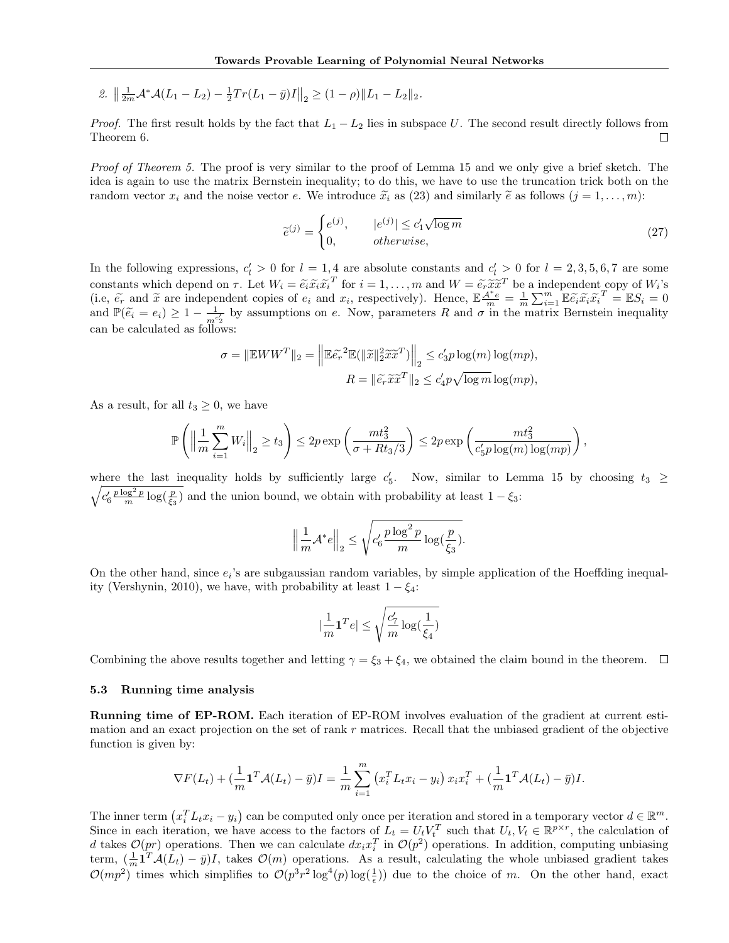2.  $\left\| \frac{1}{2m} \mathcal{A}^* \mathcal{A}(L_1 - L_2) - \frac{1}{2} Tr(L_1 - \bar{y})I \right\|_2 \geq (1 - \rho) \|L_1 - L_2\|_2.$ 

*Proof.* The first result holds by the fact that  $L_1 - L_2$  lies in subspace U. The second result directly follows from Theorem 6.  $\Box$ 

Proof of Theorem 5. The proof is very similar to the proof of Lemma 15 and we only give a brief sketch. The idea is again to use the matrix Bernstein inequality; to do this, we have to use the truncation trick both on the random vector  $x_i$  and the noise vector e. We introduce  $\tilde{x}_i$  as (23) and similarly  $\tilde{e}$  as follows  $(j = 1, \ldots, m)$ :

$$
\widetilde{e}^{(j)} = \begin{cases} e^{(j)}, & |e^{(j)}| \le c_1' \sqrt{\log m} \\ 0, & \text{otherwise,} \end{cases} \tag{27}
$$

In the following expressions,  $c'_l > 0$  for  $l = 1, 4$  are absolute constants and  $c'_l > 0$  for  $l = 2, 3, 5, 6, 7$  are some constants which depend on  $\tau$ . Let  $W_i = \tilde{e}_i \tilde{x}_i \tilde{x}_i^T$  for  $i = 1, ..., m$  and  $W = \tilde{e}_r \tilde{x}_i \tilde{x}_i^T$  be a independent copy of  $W_i$ 's<br>(i.e.  $\tilde{\epsilon}$  and  $\tilde{x}$  are independent copies of e.g. and  $x$ , respectively). (i.e,  $\tilde{e}_r$  and  $\tilde{x}$  are independent copies of  $e_i$  and  $x_i$ , respectively). Hence,  $\mathbb{E} \frac{A^* e}{m} = \frac{1}{m} \sum_{i=1}^m \mathbb{E} \tilde{e}_i \tilde{x}_i \tilde{x}_i^T = \mathbb{E} S_i = 0$ and  $\mathbb{P}(\tilde{e}_i = e_i) \geq 1 - \frac{1}{m^c}$  $\frac{1}{m^{c_2}}$  by assumptions on e. Now, parameters R and  $\sigma$  in the matrix Bernstein inequality can be calculated as follows:

$$
\sigma = \|\mathbb{E}WW^T\|_2 = \left\|\mathbb{E}\tilde{e_r}^2\mathbb{E}(\|\tilde{x}\|_2^2\tilde{x}\tilde{x}^T)\right\|_2 \le c_3'p\log(m)\log(mp),
$$
  

$$
R = \|\tilde{e_r}\tilde{x}\tilde{x}^T\|_2 \le c_4'p\sqrt{\log m}\log(mp),
$$

As a result, for all  $t_3 \geq 0$ , we have

$$
\mathbb{P}\left(\left\|\frac{1}{m}\sum_{i=1}^m W_i\right\|_2 \ge t_3\right) \le 2p \exp\left(\frac{mt_3^2}{\sigma + Rt_3/3}\right) \le 2p \exp\left(\frac{mt_3^2}{c_5'p\log(m)\log(mp)}\right),
$$

where the last inequality holds by sufficiently large  $c_5'$ . Now, similar to Lemma 15 by choosing  $t_3 \geq$  $\sqrt{c'_6\frac{p\log^2 p}{m}\log(\frac{p}{\xi_3})}$  and the union bound, we obtain with probability at least  $1-\xi_3$ :

$$
\left\|\frac{1}{m}\mathcal{A}^*e\right\|_2 \le \sqrt{c_6'\frac{p\log^2 p}{m}\log(\frac{p}{\xi_3})}.
$$

On the other hand, since  $e_i$ 's are subgaussian random variables, by simple application of the Hoeffding inequality (Vershynin, 2010), we have, with probability at least  $1 - \xi_4$ :

$$
|\frac{1}{m}\textbf{1}^T e|\leq \sqrt{\frac{c_7'}{m}\log(\frac{1}{\xi_4})}
$$

Combining the above results together and letting  $\gamma = \xi_3 + \xi_4$ , we obtained the claim bound in the theorem.  $\Box$ 

#### 5.3 Running time analysis

Running time of EP-ROM. Each iteration of EP-ROM involves evaluation of the gradient at current estimation and an exact projection on the set of rank  $r$  matrices. Recall that the unbiased gradient of the objective function is given by:

$$
\nabla F(L_t) + \left(\frac{1}{m}\mathbf{1}^T\mathcal{A}(L_t) - \bar{y}\right)I = \frac{1}{m}\sum_{i=1}^m \left(x_i^T L_t x_i - y_i\right)x_i x_i^T + \left(\frac{1}{m}\mathbf{1}^T\mathcal{A}(L_t) - \bar{y}\right)I.
$$

The inner term  $(x_i^T L_t x_i - y_i)$  can be computed only once per iteration and stored in a temporary vector  $d \in \mathbb{R}^m$ . Since in each iteration, we have access to the factors of  $L_t = U_t V_t^T$  such that  $U_t, V_t \in \mathbb{R}^{p \times r}$ , the calculation of d takes  $\mathcal{O}(pr)$  operations. Then we can calculate  $dx_i x_i^T$  in  $\mathcal{O}(p^2)$  operations. In addition, computing unbiasing term,  $(\frac{1}{m}\mathbf{1}^T\mathcal{A}(L_t) - \bar{y})I$ , takes  $\mathcal{O}(m)$  operations. As a result, calculating the whole unbiased gradient takes  $\mathcal{O}(mp^2)$  times which simplifies to  $\mathcal{O}(p^3r^2\log^4(p)\log(\frac{1}{\epsilon}))$  due to the choice of m. On the other hand, exact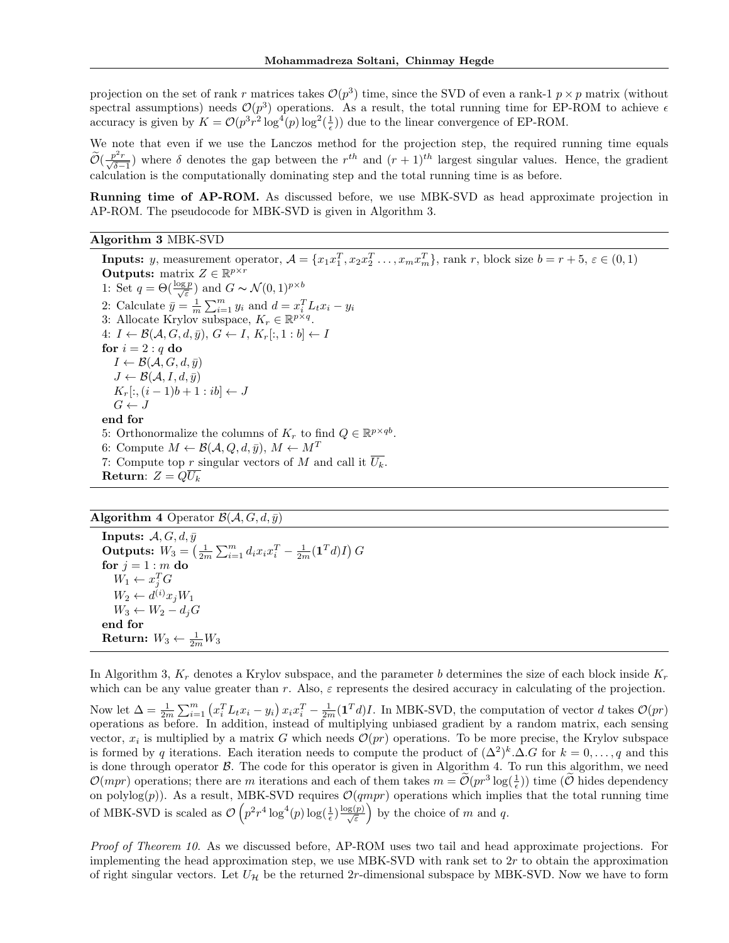projection on the set of rank r matrices takes  $\mathcal{O}(p^3)$  time, since the SVD of even a rank-1  $p \times p$  matrix (without spectral assumptions) needs  $\mathcal{O}(p^3)$  operations. As a result, the total running time for EP-ROM to achieve  $\epsilon$ accuracy is given by  $K = \mathcal{O}(p^3 r^2 \log^4(p) \log^2(\frac{1}{\epsilon}))$  due to the linear convergence of EP-ROM.

We note that even if we use the Lanczos method for the projection step, the required running time equals  $\widetilde{\mathcal{O}}(\frac{p^2r}{\sqrt{\delta-1}})$  where  $\delta$  denotes the gap between the  $r^{th}$  and  $(r+1)^{th}$  largest singular values. Hence, the gradient calculation is the computationally dominating step and the total running time is as before.

Running time of AP-ROM. As discussed before, we use MBK-SVD as head approximate projection in AP-ROM. The pseudocode for MBK-SVD is given in Algorithm 3.

## Algorithm 3 MBK-SVD

**Inputs:** y, measurement operator,  $A = \{x_1x_1^T, x_2x_2^T, \ldots, x_mx_m^T\}$ , rank r, block size  $b = r + 5$ ,  $\varepsilon \in (0, 1)$ **Outputs:** matrix  $Z \in \mathbb{R}^{p \times r}$ 1: Set  $q = \Theta(\frac{\log p}{\sqrt{\varepsilon}})$  and  $G \sim \mathcal{N}(0, 1)^{p \times b}$ 2: Calculate  $\bar{y} = \frac{1}{m} \sum_{i=1}^{m} y_i$  and  $d = x_i^T L_t x_i - y_i$ 3: Allocate Krylov subspace,  $K_r \in \mathbb{R}^{p \times q}$ . 4:  $I \leftarrow \mathcal{B}(\mathcal{A}, G, d, \bar{y}), G \leftarrow I, K_r[:, 1 : b] \leftarrow I$ for  $i = 2 : q$  do  $I \leftarrow \mathcal{B}(\mathcal{A}, G, d, \bar{y})$  $J \leftarrow \mathcal{B}(\mathcal{A}, I, d, \bar{y})$  $K_r[:,(i-1)b+1:ib] \leftarrow J$  $G \leftarrow J$ end for 5: Orthonormalize the columns of  $K_r$  to find  $Q \in \mathbb{R}^{p \times qb}$ . 6: Compute  $M \leftarrow \mathcal{B}(\mathcal{A}, Q, d, \bar{y}), M \leftarrow M^T$ 7: Compute top r singular vectors of M and call it  $\overline{U_k}$ . Return:  $Z = Q\overline{U_k}$ 

# Algorithm 4 Operator  $\mathcal{B}(\mathcal{A}, G, d, \bar{y})$

**Inputs:**  $A, G, d, \bar{y}$ Outputs:  $W_3 = \left(\frac{1}{2m}\sum_{i=1}^m d_i x_i x_i^T - \frac{1}{2m}(\mathbf{1}^T d)I\right) G$ for  $j = 1 : m$  do  $W_1 \leftarrow x_j^T G$  $W_2 \leftarrow d^{(i)} x_j W_1$  $W_3 \leftarrow W_2 - d_j G$ end for Return:  $W_3 \leftarrow \frac{1}{2m} W_3$ 

In Algorithm 3,  $K_r$  denotes a Krylov subspace, and the parameter b determines the size of each block inside  $K_r$ which can be any value greater than r. Also,  $\varepsilon$  represents the desired accuracy in calculating of the projection.

Now let  $\Delta = \frac{1}{2m} \sum_{i=1}^{m} (x_i^T L_t x_i - y_i) x_i x_i^T - \frac{1}{2m} (\mathbf{1}^T d) I$ . In MBK-SVD, the computation of vector d takes  $\mathcal{O}(pr)$ operations as before. In addition, instead of multiplying unbiased gradient by a random matrix, each sensing vector,  $x_i$  is multiplied by a matrix G which needs  $\mathcal{O}(pr)$  operations. To be more precise, the Krylov subspace is formed by q iterations. Each iteration needs to compute the product of  $(\Delta^2)^k \Delta G$  for  $k = 0, \ldots, q$  and this is done through operator  $\beta$ . The code for this operator is given in Algorithm 4. To run this algorithm, we need  $\mathcal{O}(mpr)$  operations; there are m iterations and each of them takes  $m = \widetilde{\mathcal{O}}(pr^3 \log(\frac{1}{\epsilon}))$  time  $(\widetilde{\mathcal{O}}$  hides dependency on polylog(p)). As a result, MBK-SVD requires  $\mathcal{O}(qmpr)$  operations which implies that the total running time of MBK-SVD is scaled as  $\mathcal{O}\left(p^2r^4\log^4(p)\log(\frac{1}{\epsilon})\frac{\log(p)}{\sqrt{\epsilon}}\right)$  by the choice of m and q.

Proof of Theorem 10. As we discussed before, AP-ROM uses two tail and head approximate projections. For implementing the head approximation step, we use MBK-SVD with rank set to  $2r$  to obtain the approximation of right singular vectors. Let  $U_{\mathcal{H}}$  be the returned 2r-dimensional subspace by MBK-SVD. Now we have to form